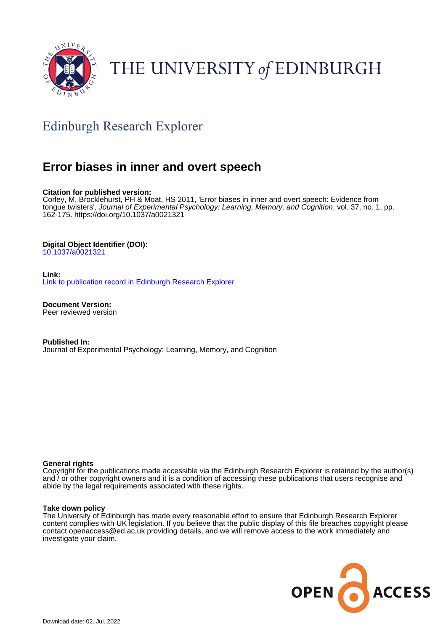

# THE UNIVERSITY of EDINBURGH

## Edinburgh Research Explorer

## **Error biases in inner and overt speech**

#### **Citation for published version:**

Corley, M, Brocklehurst, PH & Moat, HS 2011, 'Error biases in inner and overt speech: Evidence from tongue twisters', Journal of Experimental Psychology: Learning, Memory, and Cognition, vol. 37, no. 1, pp. 162-175.<https://doi.org/10.1037/a0021321>

#### **Digital Object Identifier (DOI):**

[10.1037/a0021321](https://doi.org/10.1037/a0021321)

#### **Link:**

[Link to publication record in Edinburgh Research Explorer](https://www.research.ed.ac.uk/en/publications/e81e988a-2d17-4b3a-bcc0-71cb210a1ef7)

**Document Version:** Peer reviewed version

**Published In:** Journal of Experimental Psychology: Learning, Memory, and Cognition

#### **General rights**

Copyright for the publications made accessible via the Edinburgh Research Explorer is retained by the author(s) and / or other copyright owners and it is a condition of accessing these publications that users recognise and abide by the legal requirements associated with these rights.

#### **Take down policy**

The University of Edinburgh has made every reasonable effort to ensure that Edinburgh Research Explorer content complies with UK legislation. If you believe that the public display of this file breaches copyright please contact openaccess@ed.ac.uk providing details, and we will remove access to the work immediately and investigate your claim.

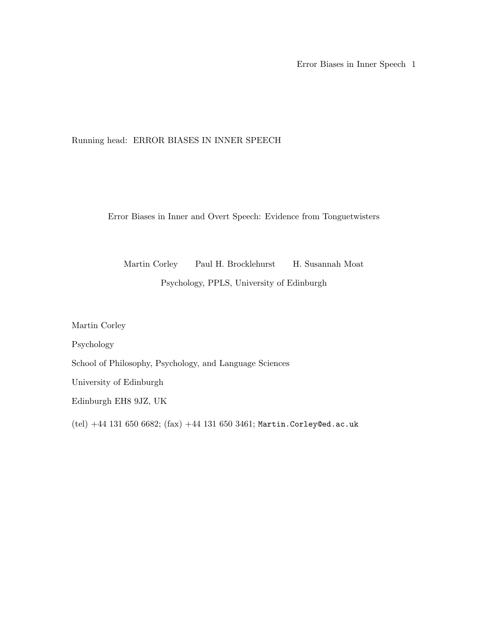### Running head: ERROR BIASES IN INNER SPEECH

Error Biases in Inner and Overt Speech: Evidence from Tonguetwisters

Martin Corley Paul H. Brocklehurst H. Susannah Moat Psychology, PPLS, University of Edinburgh

Martin Corley

Psychology

School of Philosophy, Psychology, and Language Sciences

University of Edinburgh

Edinburgh EH8 9JZ, UK

(tel)  $+44$  131 650 6682; (fax)  $+44$  131 650 3461; Martin.Corley@ed.ac.uk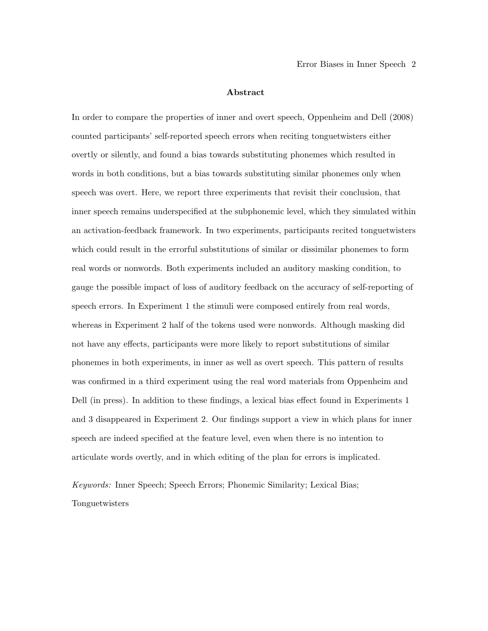#### Abstract

In order to compare the properties of inner and overt speech, Oppenheim and Dell (2008) counted participants' self-reported speech errors when reciting tonguetwisters either overtly or silently, and found a bias towards substituting phonemes which resulted in words in both conditions, but a bias towards substituting similar phonemes only when speech was overt. Here, we report three experiments that revisit their conclusion, that inner speech remains underspecified at the subphonemic level, which they simulated within an activation-feedback framework. In two experiments, participants recited tonguetwisters which could result in the errorful substitutions of similar or dissimilar phonemes to form real words or nonwords. Both experiments included an auditory masking condition, to gauge the possible impact of loss of auditory feedback on the accuracy of self-reporting of speech errors. In Experiment 1 the stimuli were composed entirely from real words, whereas in Experiment 2 half of the tokens used were nonwords. Although masking did not have any effects, participants were more likely to report substitutions of similar phonemes in both experiments, in inner as well as overt speech. This pattern of results was confirmed in a third experiment using the real word materials from Oppenheim and Dell (in press). In addition to these findings, a lexical bias effect found in Experiments 1 and 3 disappeared in Experiment 2. Our findings support a view in which plans for inner speech are indeed specified at the feature level, even when there is no intention to articulate words overtly, and in which editing of the plan for errors is implicated.

Keywords: Inner Speech; Speech Errors; Phonemic Similarity; Lexical Bias; Tonguetwisters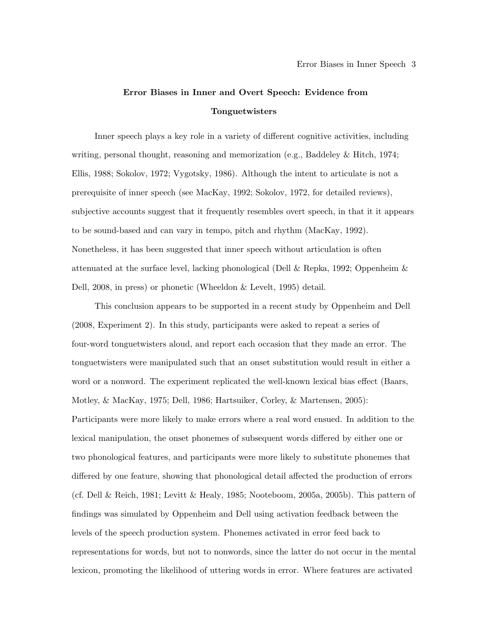## Error Biases in Inner and Overt Speech: Evidence from Tonguetwisters

Inner speech plays a key role in a variety of different cognitive activities, including writing, personal thought, reasoning and memorization (e.g., Baddeley & Hitch, 1974; Ellis, 1988; Sokolov, 1972; Vygotsky, 1986). Although the intent to articulate is not a prerequisite of inner speech (see MacKay, 1992; Sokolov, 1972, for detailed reviews), subjective accounts suggest that it frequently resembles overt speech, in that it it appears to be sound-based and can vary in tempo, pitch and rhythm (MacKay, 1992). Nonetheless, it has been suggested that inner speech without articulation is often attenuated at the surface level, lacking phonological (Dell & Repka, 1992; Oppenheim & Dell, 2008, in press) or phonetic (Wheeldon & Levelt, 1995) detail.

This conclusion appears to be supported in a recent study by Oppenheim and Dell (2008, Experiment 2). In this study, participants were asked to repeat a series of four-word tonguetwisters aloud, and report each occasion that they made an error. The tonguetwisters were manipulated such that an onset substitution would result in either a word or a nonword. The experiment replicated the well-known lexical bias effect (Baars, Motley, & MacKay, 1975; Dell, 1986; Hartsuiker, Corley, & Martensen, 2005): Participants were more likely to make errors where a real word ensued. In addition to the lexical manipulation, the onset phonemes of subsequent words differed by either one or two phonological features, and participants were more likely to substitute phonemes that differed by one feature, showing that phonological detail affected the production of errors (cf. Dell & Reich, 1981; Levitt & Healy, 1985; Nooteboom, 2005a, 2005b). This pattern of findings was simulated by Oppenheim and Dell using activation feedback between the levels of the speech production system. Phonemes activated in error feed back to representations for words, but not to nonwords, since the latter do not occur in the mental lexicon, promoting the likelihood of uttering words in error. Where features are activated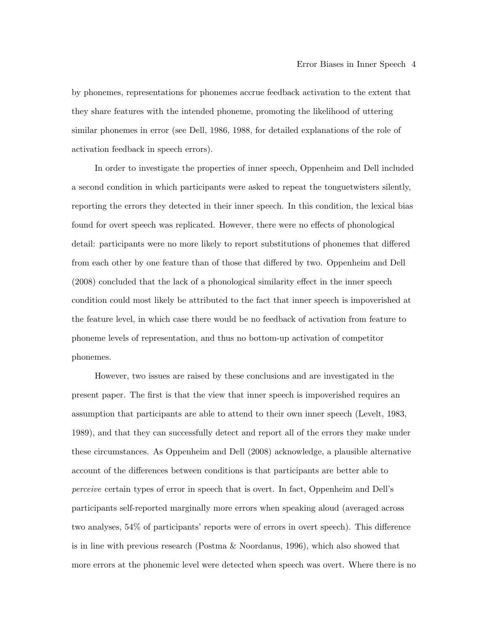by phonemes, representations for phonemes accrue feedback activation to the extent that they share features with the intended phoneme, promoting the likelihood of uttering similar phonemes in error (see Dell, 1986, 1988, for detailed explanations of the role of activation feedback in speech errors).

In order to investigate the properties of inner speech, Oppenheim and Dell included a second condition in which participants were asked to repeat the tonguetwisters silently, reporting the errors they detected in their inner speech. In this condition, the lexical bias found for overt speech was replicated. However, there were no effects of phonological detail: participants were no more likely to report substitutions of phonemes that differed from each other by one feature than of those that differed by two. Oppenheim and Dell (2008) concluded that the lack of a phonological similarity effect in the inner speech condition could most likely be attributed to the fact that inner speech is impoverished at the feature level, in which case there would be no feedback of activation from feature to phoneme levels of representation, and thus no bottom-up activation of competitor phonemes.

However, two issues are raised by these conclusions and are investigated in the present paper. The first is that the view that inner speech is impoverished requires an assumption that participants are able to attend to their own inner speech (Levelt, 1983, 1989), and that they can successfully detect and report all of the errors they make under these circumstances. As Oppenheim and Dell (2008) acknowledge, a plausible alternative account of the differences between conditions is that participants are better able to perceive certain types of error in speech that is overt. In fact, Oppenheim and Dell's participants self-reported marginally more errors when speaking aloud (averaged across two analyses, 54% of participants' reports were of errors in overt speech). This difference is in line with previous research (Postma & Noordanus, 1996), which also showed that more errors at the phonemic level were detected when speech was overt. Where there is no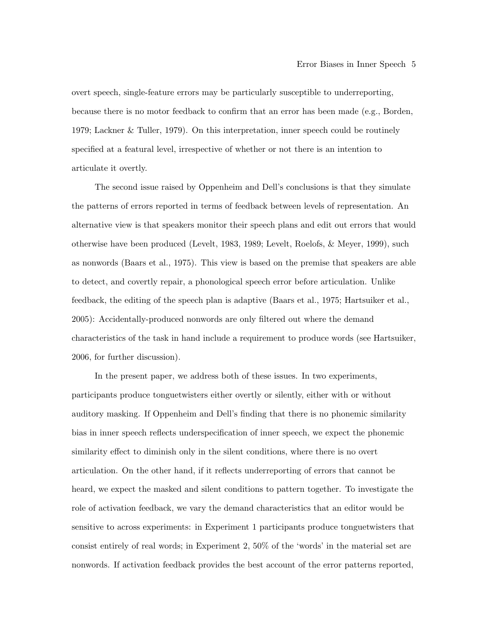overt speech, single-feature errors may be particularly susceptible to underreporting, because there is no motor feedback to confirm that an error has been made (e.g., Borden, 1979; Lackner & Tuller, 1979). On this interpretation, inner speech could be routinely specified at a featural level, irrespective of whether or not there is an intention to articulate it overtly.

The second issue raised by Oppenheim and Dell's conclusions is that they simulate the patterns of errors reported in terms of feedback between levels of representation. An alternative view is that speakers monitor their speech plans and edit out errors that would otherwise have been produced (Levelt, 1983, 1989; Levelt, Roelofs, & Meyer, 1999), such as nonwords (Baars et al., 1975). This view is based on the premise that speakers are able to detect, and covertly repair, a phonological speech error before articulation. Unlike feedback, the editing of the speech plan is adaptive (Baars et al., 1975; Hartsuiker et al., 2005): Accidentally-produced nonwords are only filtered out where the demand characteristics of the task in hand include a requirement to produce words (see Hartsuiker, 2006, for further discussion).

In the present paper, we address both of these issues. In two experiments, participants produce tonguetwisters either overtly or silently, either with or without auditory masking. If Oppenheim and Dell's finding that there is no phonemic similarity bias in inner speech reflects underspecification of inner speech, we expect the phonemic similarity effect to diminish only in the silent conditions, where there is no overt articulation. On the other hand, if it reflects underreporting of errors that cannot be heard, we expect the masked and silent conditions to pattern together. To investigate the role of activation feedback, we vary the demand characteristics that an editor would be sensitive to across experiments: in Experiment 1 participants produce tonguetwisters that consist entirely of real words; in Experiment 2, 50% of the 'words' in the material set are nonwords. If activation feedback provides the best account of the error patterns reported,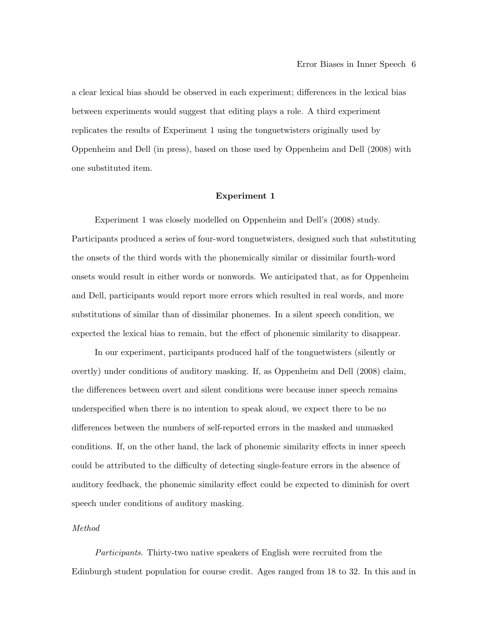a clear lexical bias should be observed in each experiment; differences in the lexical bias between experiments would suggest that editing plays a role. A third experiment replicates the results of Experiment 1 using the tonguetwisters originally used by Oppenheim and Dell (in press), based on those used by Oppenheim and Dell (2008) with one substituted item.

#### Experiment 1

Experiment 1 was closely modelled on Oppenheim and Dell's (2008) study. Participants produced a series of four-word tonguetwisters, designed such that substituting the onsets of the third words with the phonemically similar or dissimilar fourth-word onsets would result in either words or nonwords. We anticipated that, as for Oppenheim and Dell, participants would report more errors which resulted in real words, and more substitutions of similar than of dissimilar phonemes. In a silent speech condition, we expected the lexical bias to remain, but the effect of phonemic similarity to disappear.

In our experiment, participants produced half of the tonguetwisters (silently or overtly) under conditions of auditory masking. If, as Oppenheim and Dell (2008) claim, the differences between overt and silent conditions were because inner speech remains underspecified when there is no intention to speak aloud, we expect there to be no differences between the numbers of self-reported errors in the masked and unmasked conditions. If, on the other hand, the lack of phonemic similarity effects in inner speech could be attributed to the difficulty of detecting single-feature errors in the absence of auditory feedback, the phonemic similarity effect could be expected to diminish for overt speech under conditions of auditory masking.

#### Method

Participants. Thirty-two native speakers of English were recruited from the Edinburgh student population for course credit. Ages ranged from 18 to 32. In this and in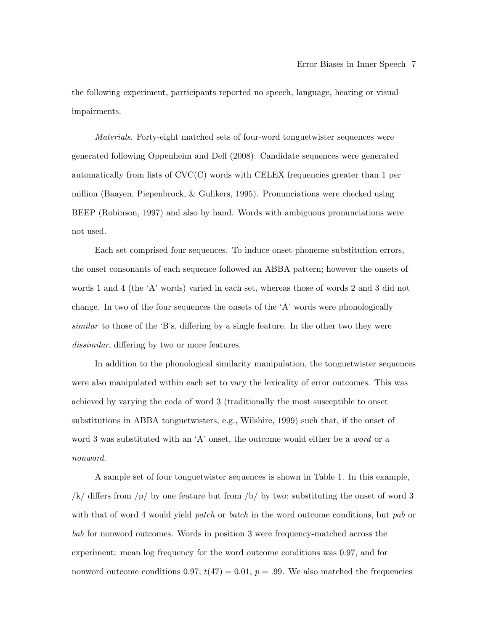the following experiment, participants reported no speech, language, hearing or visual impairments.

Materials. Forty-eight matched sets of four-word tonguetwister sequences were generated following Oppenheim and Dell (2008). Candidate sequences were generated automatically from lists of CVC(C) words with CELEX frequencies greater than 1 per million (Baayen, Piepenbrock, & Gulikers, 1995). Pronunciations were checked using BEEP (Robinson, 1997) and also by hand. Words with ambiguous pronunciations were not used.

Each set comprised four sequences. To induce onset-phoneme substitution errors, the onset consonants of each sequence followed an ABBA pattern; however the onsets of words 1 and 4 (the 'A' words) varied in each set, whereas those of words 2 and 3 did not change. In two of the four sequences the onsets of the 'A' words were phonologically similar to those of the 'B's, differing by a single feature. In the other two they were dissimilar, differing by two or more features.

In addition to the phonological similarity manipulation, the tonguetwister sequences were also manipulated within each set to vary the lexicality of error outcomes. This was achieved by varying the coda of word 3 (traditionally the most susceptible to onset substitutions in ABBA tonguetwisters, e.g., Wilshire, 1999) such that, if the onset of word 3 was substituted with an 'A' onset, the outcome would either be a *word* or a nonword.

A sample set of four tonguetwister sequences is shown in Table 1. In this example, /k/ differs from  $/p/$  by one feature but from  $/b/$  by two; substituting the onset of word 3 with that of word 4 would yield *patch* or *batch* in the word outcome conditions, but *pab* or bab for nonword outcomes. Words in position 3 were frequency-matched across the experiment: mean log frequency for the word outcome conditions was 0.97, and for nonword outcome conditions 0.97;  $t(47) = 0.01$ ,  $p = .99$ . We also matched the frequencies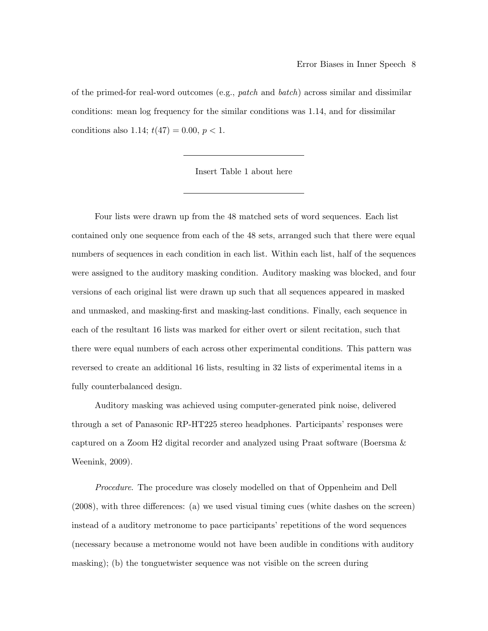of the primed-for real-word outcomes (e.g., *patch* and *batch*) across similar and dissimilar conditions: mean log frequency for the similar conditions was 1.14, and for dissimilar conditions also 1.14;  $t(47) = 0.00, p < 1$ .

Insert Table 1 about here

Four lists were drawn up from the 48 matched sets of word sequences. Each list contained only one sequence from each of the 48 sets, arranged such that there were equal numbers of sequences in each condition in each list. Within each list, half of the sequences were assigned to the auditory masking condition. Auditory masking was blocked, and four versions of each original list were drawn up such that all sequences appeared in masked and unmasked, and masking-first and masking-last conditions. Finally, each sequence in each of the resultant 16 lists was marked for either overt or silent recitation, such that there were equal numbers of each across other experimental conditions. This pattern was reversed to create an additional 16 lists, resulting in 32 lists of experimental items in a fully counterbalanced design.

Auditory masking was achieved using computer-generated pink noise, delivered through a set of Panasonic RP-HT225 stereo headphones. Participants' responses were captured on a Zoom H2 digital recorder and analyzed using Praat software (Boersma & Weenink, 2009).

Procedure. The procedure was closely modelled on that of Oppenheim and Dell (2008), with three differences: (a) we used visual timing cues (white dashes on the screen) instead of a auditory metronome to pace participants' repetitions of the word sequences (necessary because a metronome would not have been audible in conditions with auditory masking); (b) the tonguetwister sequence was not visible on the screen during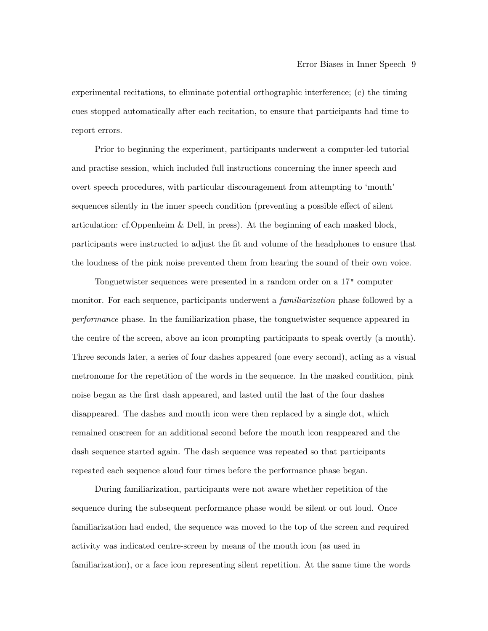experimental recitations, to eliminate potential orthographic interference; (c) the timing cues stopped automatically after each recitation, to ensure that participants had time to report errors.

Prior to beginning the experiment, participants underwent a computer-led tutorial and practise session, which included full instructions concerning the inner speech and overt speech procedures, with particular discouragement from attempting to 'mouth' sequences silently in the inner speech condition (preventing a possible effect of silent articulation: cf.Oppenheim & Dell, in press). At the beginning of each masked block, participants were instructed to adjust the fit and volume of the headphones to ensure that the loudness of the pink noise prevented them from hearing the sound of their own voice.

Tonguetwister sequences were presented in a random order on a 17" computer monitor. For each sequence, participants underwent a *familiarization* phase followed by a performance phase. In the familiarization phase, the tonguetwister sequence appeared in the centre of the screen, above an icon prompting participants to speak overtly (a mouth). Three seconds later, a series of four dashes appeared (one every second), acting as a visual metronome for the repetition of the words in the sequence. In the masked condition, pink noise began as the first dash appeared, and lasted until the last of the four dashes disappeared. The dashes and mouth icon were then replaced by a single dot, which remained onscreen for an additional second before the mouth icon reappeared and the dash sequence started again. The dash sequence was repeated so that participants repeated each sequence aloud four times before the performance phase began.

During familiarization, participants were not aware whether repetition of the sequence during the subsequent performance phase would be silent or out loud. Once familiarization had ended, the sequence was moved to the top of the screen and required activity was indicated centre-screen by means of the mouth icon (as used in familiarization), or a face icon representing silent repetition. At the same time the words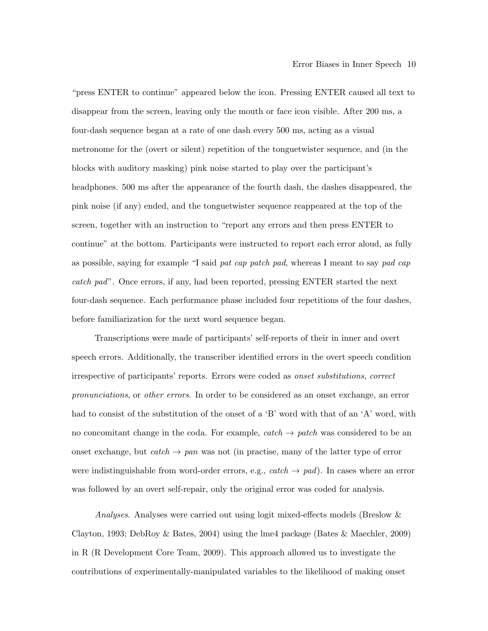"press ENTER to continue" appeared below the icon. Pressing ENTER caused all text to disappear from the screen, leaving only the mouth or face icon visible. After 200 ms, a four-dash sequence began at a rate of one dash every 500 ms, acting as a visual metronome for the (overt or silent) repetition of the tonguetwister sequence, and (in the blocks with auditory masking) pink noise started to play over the participant's headphones. 500 ms after the appearance of the fourth dash, the dashes disappeared, the pink noise (if any) ended, and the tonguetwister sequence reappeared at the top of the screen, together with an instruction to "report any errors and then press ENTER to continue" at the bottom. Participants were instructed to report each error aloud, as fully as possible, saying for example "I said pat cap patch pad, whereas I meant to say pad cap catch pad". Once errors, if any, had been reported, pressing ENTER started the next four-dash sequence. Each performance phase included four repetitions of the four dashes, before familiarization for the next word sequence began.

Transcriptions were made of participants' self-reports of their in inner and overt speech errors. Additionally, the transcriber identified errors in the overt speech condition irrespective of participants' reports. Errors were coded as onset substitutions, correct pronunciations, or other errors. In order to be considered as an onset exchange, an error had to consist of the substitution of the onset of a 'B' word with that of an 'A' word, with no concomitant change in the coda. For example,  $catch \rightarrow patch$  was considered to be an onset exchange, but *catch*  $\rightarrow$  pan was not (in practise, many of the latter type of error were indistinguishable from word-order errors, e.g.,  $catch \rightarrow pad$ ). In cases where an error was followed by an overt self-repair, only the original error was coded for analysis.

Analyses. Analyses were carried out using logit mixed-effects models (Breslow & Clayton, 1993; DebRoy & Bates, 2004) using the lme4 package (Bates & Maechler, 2009) in R (R Development Core Team, 2009). This approach allowed us to investigate the contributions of experimentally-manipulated variables to the likelihood of making onset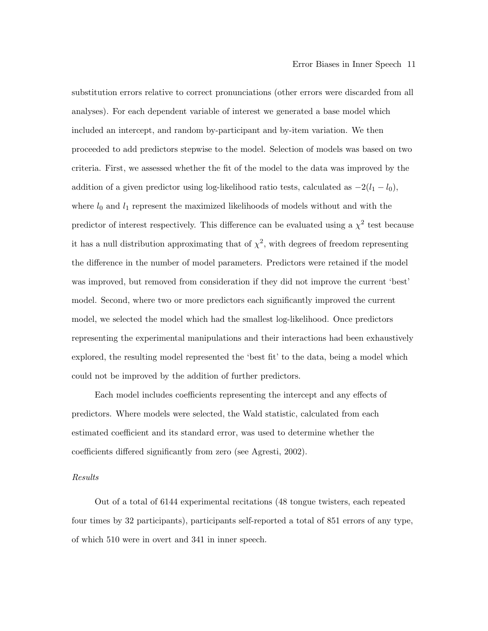substitution errors relative to correct pronunciations (other errors were discarded from all analyses). For each dependent variable of interest we generated a base model which included an intercept, and random by-participant and by-item variation. We then proceeded to add predictors stepwise to the model. Selection of models was based on two criteria. First, we assessed whether the fit of the model to the data was improved by the addition of a given predictor using log-likelihood ratio tests, calculated as  $-2(l_1 - l_0)$ , where  $l_0$  and  $l_1$  represent the maximized likelihoods of models without and with the predictor of interest respectively. This difference can be evaluated using a  $\chi^2$  test because it has a null distribution approximating that of  $\chi^2$ , with degrees of freedom representing the difference in the number of model parameters. Predictors were retained if the model was improved, but removed from consideration if they did not improve the current 'best' model. Second, where two or more predictors each significantly improved the current model, we selected the model which had the smallest log-likelihood. Once predictors representing the experimental manipulations and their interactions had been exhaustively explored, the resulting model represented the 'best fit' to the data, being a model which could not be improved by the addition of further predictors.

Each model includes coefficients representing the intercept and any effects of predictors. Where models were selected, the Wald statistic, calculated from each estimated coefficient and its standard error, was used to determine whether the coefficients differed significantly from zero (see Agresti, 2002).

#### Results

Out of a total of 6144 experimental recitations (48 tongue twisters, each repeated four times by 32 participants), participants self-reported a total of 851 errors of any type, of which 510 were in overt and 341 in inner speech.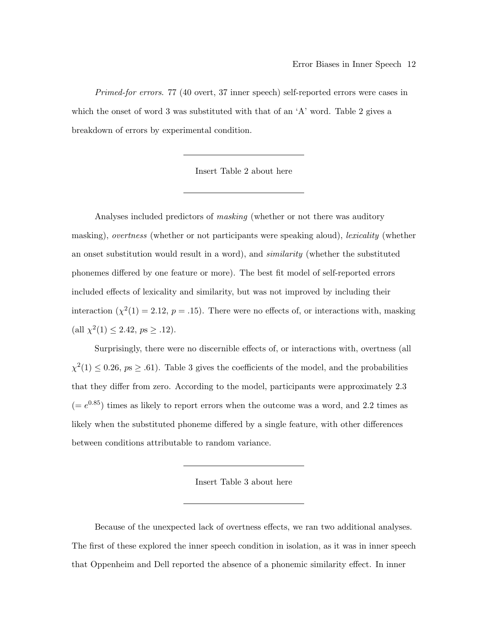Primed-for errors. 77 (40 overt, 37 inner speech) self-reported errors were cases in which the onset of word 3 was substituted with that of an 'A' word. Table 2 gives a breakdown of errors by experimental condition.

Insert Table 2 about here

Analyses included predictors of masking (whether or not there was auditory masking), overtness (whether or not participants were speaking aloud), *lexicality* (whether an onset substitution would result in a word), and similarity (whether the substituted phonemes differed by one feature or more). The best fit model of self-reported errors included effects of lexicality and similarity, but was not improved by including their interaction  $(\chi^2(1) = 2.12, p = .15)$ . There were no effects of, or interactions with, masking (all  $\chi^2(1) \leq 2.42$ ,  $ps \geq .12$ ).

Surprisingly, there were no discernible effects of, or interactions with, overtness (all  $\chi^2(1) \leq 0.26$ ,  $p_s \geq .61$ ). Table 3 gives the coefficients of the model, and the probabilities that they differ from zero. According to the model, participants were approximately 2.3  $(= e^{0.85})$  times as likely to report errors when the outcome was a word, and 2.2 times as likely when the substituted phoneme differed by a single feature, with other differences between conditions attributable to random variance.

Insert Table 3 about here

Because of the unexpected lack of overtness effects, we ran two additional analyses. The first of these explored the inner speech condition in isolation, as it was in inner speech that Oppenheim and Dell reported the absence of a phonemic similarity effect. In inner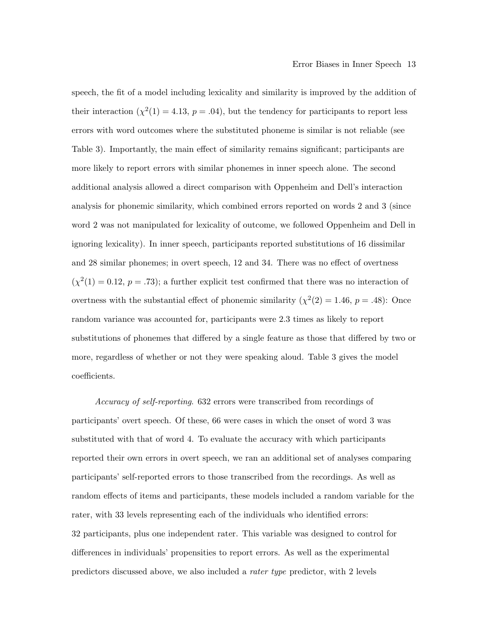speech, the fit of a model including lexicality and similarity is improved by the addition of their interaction ( $\chi^2(1) = 4.13$ ,  $p = .04$ ), but the tendency for participants to report less errors with word outcomes where the substituted phoneme is similar is not reliable (see Table 3). Importantly, the main effect of similarity remains significant; participants are more likely to report errors with similar phonemes in inner speech alone. The second additional analysis allowed a direct comparison with Oppenheim and Dell's interaction analysis for phonemic similarity, which combined errors reported on words 2 and 3 (since word 2 was not manipulated for lexicality of outcome, we followed Oppenheim and Dell in ignoring lexicality). In inner speech, participants reported substitutions of 16 dissimilar and 28 similar phonemes; in overt speech, 12 and 34. There was no effect of overtness  $(\chi^2(1) = 0.12, p = .73)$ ; a further explicit test confirmed that there was no interaction of overtness with the substantial effect of phonemic similarity  $(\chi^2(2) = 1.46, p = .48)$ : Once random variance was accounted for, participants were 2.3 times as likely to report substitutions of phonemes that differed by a single feature as those that differed by two or more, regardless of whether or not they were speaking aloud. Table 3 gives the model coefficients.

Accuracy of self-reporting. 632 errors were transcribed from recordings of participants' overt speech. Of these, 66 were cases in which the onset of word 3 was substituted with that of word 4. To evaluate the accuracy with which participants reported their own errors in overt speech, we ran an additional set of analyses comparing participants' self-reported errors to those transcribed from the recordings. As well as random effects of items and participants, these models included a random variable for the rater, with 33 levels representing each of the individuals who identified errors: 32 participants, plus one independent rater. This variable was designed to control for differences in individuals' propensities to report errors. As well as the experimental predictors discussed above, we also included a rater type predictor, with 2 levels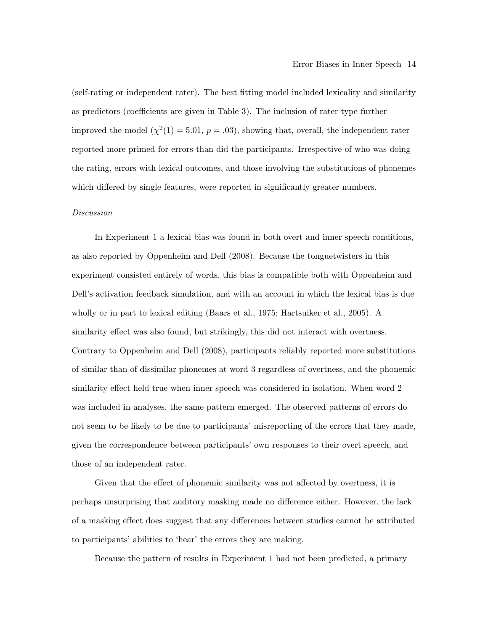(self-rating or independent rater). The best fitting model included lexicality and similarity as predictors (coefficients are given in Table 3). The inclusion of rater type further improved the model  $(\chi^2(1) = 5.01, p = .03)$ , showing that, overall, the independent rater reported more primed-for errors than did the participants. Irrespective of who was doing the rating, errors with lexical outcomes, and those involving the substitutions of phonemes which differed by single features, were reported in significantly greater numbers.

#### Discussion

In Experiment 1 a lexical bias was found in both overt and inner speech conditions, as also reported by Oppenheim and Dell (2008). Because the tonguetwisters in this experiment consisted entirely of words, this bias is compatible both with Oppenheim and Dell's activation feedback simulation, and with an account in which the lexical bias is due wholly or in part to lexical editing (Baars et al., 1975; Hartsuiker et al., 2005). A similarity effect was also found, but strikingly, this did not interact with overtness. Contrary to Oppenheim and Dell (2008), participants reliably reported more substitutions of similar than of dissimilar phonemes at word 3 regardless of overtness, and the phonemic similarity effect held true when inner speech was considered in isolation. When word 2 was included in analyses, the same pattern emerged. The observed patterns of errors do not seem to be likely to be due to participants' misreporting of the errors that they made, given the correspondence between participants' own responses to their overt speech, and those of an independent rater.

Given that the effect of phonemic similarity was not affected by overtness, it is perhaps unsurprising that auditory masking made no difference either. However, the lack of a masking effect does suggest that any differences between studies cannot be attributed to participants' abilities to 'hear' the errors they are making.

Because the pattern of results in Experiment 1 had not been predicted, a primary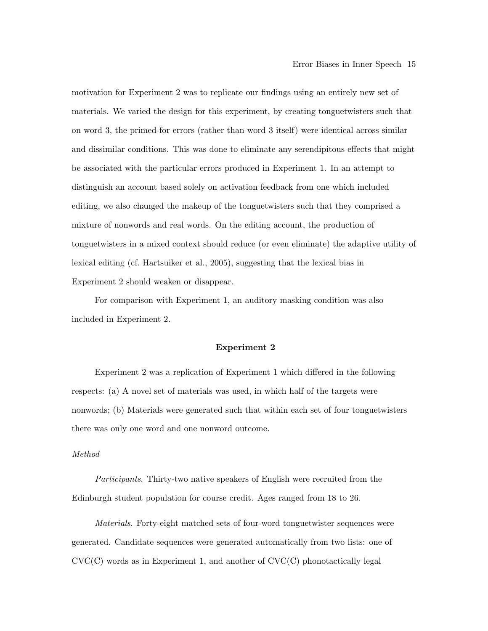motivation for Experiment 2 was to replicate our findings using an entirely new set of materials. We varied the design for this experiment, by creating tonguetwisters such that on word 3, the primed-for errors (rather than word 3 itself) were identical across similar and dissimilar conditions. This was done to eliminate any serendipitous effects that might be associated with the particular errors produced in Experiment 1. In an attempt to distinguish an account based solely on activation feedback from one which included editing, we also changed the makeup of the tonguetwisters such that they comprised a mixture of nonwords and real words. On the editing account, the production of tonguetwisters in a mixed context should reduce (or even eliminate) the adaptive utility of lexical editing (cf. Hartsuiker et al., 2005), suggesting that the lexical bias in Experiment 2 should weaken or disappear.

For comparison with Experiment 1, an auditory masking condition was also included in Experiment 2.

#### Experiment 2

Experiment 2 was a replication of Experiment 1 which differed in the following respects: (a) A novel set of materials was used, in which half of the targets were nonwords; (b) Materials were generated such that within each set of four tonguetwisters there was only one word and one nonword outcome.

#### Method

Participants. Thirty-two native speakers of English were recruited from the Edinburgh student population for course credit. Ages ranged from 18 to 26.

Materials. Forty-eight matched sets of four-word tonguetwister sequences were generated. Candidate sequences were generated automatically from two lists: one of  $CVC(C)$  words as in Experiment 1, and another of  $CVC(C)$  phonotactically legal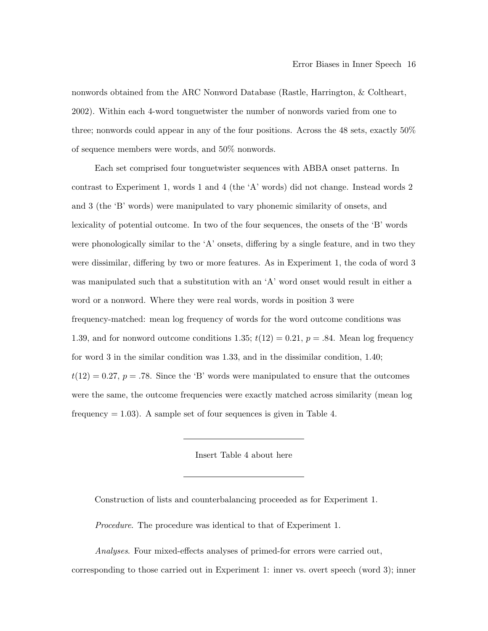nonwords obtained from the ARC Nonword Database (Rastle, Harrington, & Coltheart, 2002). Within each 4-word tonguetwister the number of nonwords varied from one to three; nonwords could appear in any of the four positions. Across the 48 sets, exactly 50% of sequence members were words, and 50% nonwords.

Each set comprised four tonguetwister sequences with ABBA onset patterns. In contrast to Experiment 1, words 1 and 4 (the 'A' words) did not change. Instead words 2 and 3 (the 'B' words) were manipulated to vary phonemic similarity of onsets, and lexicality of potential outcome. In two of the four sequences, the onsets of the 'B' words were phonologically similar to the 'A' onsets, differing by a single feature, and in two they were dissimilar, differing by two or more features. As in Experiment 1, the coda of word 3 was manipulated such that a substitution with an 'A' word onset would result in either a word or a nonword. Where they were real words, words in position 3 were frequency-matched: mean log frequency of words for the word outcome conditions was 1.39, and for nonword outcome conditions 1.35;  $t(12) = 0.21$ ,  $p = .84$ . Mean log frequency for word 3 in the similar condition was 1.33, and in the dissimilar condition, 1.40;  $t(12) = 0.27, p = .78$ . Since the 'B' words were manipulated to ensure that the outcomes were the same, the outcome frequencies were exactly matched across similarity (mean log frequency  $= 1.03$ ). A sample set of four sequences is given in Table 4.

Insert Table 4 about here

Construction of lists and counterbalancing proceeded as for Experiment 1.

Procedure. The procedure was identical to that of Experiment 1.

Analyses. Four mixed-effects analyses of primed-for errors were carried out,

corresponding to those carried out in Experiment 1: inner vs. overt speech (word 3); inner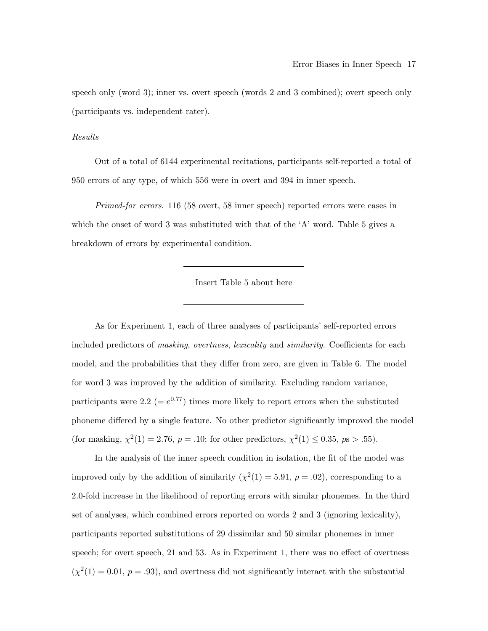speech only (word 3); inner vs. overt speech (words 2 and 3 combined); overt speech only (participants vs. independent rater).

Results

Out of a total of 6144 experimental recitations, participants self-reported a total of 950 errors of any type, of which 556 were in overt and 394 in inner speech.

Primed-for errors. 116 (58 overt, 58 inner speech) reported errors were cases in which the onset of word 3 was substituted with that of the  $A'$  word. Table 5 gives a breakdown of errors by experimental condition.

Insert Table 5 about here

As for Experiment 1, each of three analyses of participants' self-reported errors included predictors of masking, overtness, lexicality and similarity. Coefficients for each model, and the probabilities that they differ from zero, are given in Table 6. The model for word 3 was improved by the addition of similarity. Excluding random variance, participants were 2.2 (=  $e^{0.77}$ ) times more likely to report errors when the substituted phoneme differed by a single feature. No other predictor significantly improved the model (for masking,  $\chi^2(1) = 2.76$ ,  $p = .10$ ; for other predictors,  $\chi^2(1) \le 0.35$ ,  $ps > .55$ ).

In the analysis of the inner speech condition in isolation, the fit of the model was improved only by the addition of similarity  $(\chi^2(1) = 5.91, p = .02)$ , corresponding to a 2.0-fold increase in the likelihood of reporting errors with similar phonemes. In the third set of analyses, which combined errors reported on words 2 and 3 (ignoring lexicality), participants reported substitutions of 29 dissimilar and 50 similar phonemes in inner speech; for overt speech, 21 and 53. As in Experiment 1, there was no effect of overtness  $(\chi^2(1) = 0.01, p = .93)$ , and overtness did not significantly interact with the substantial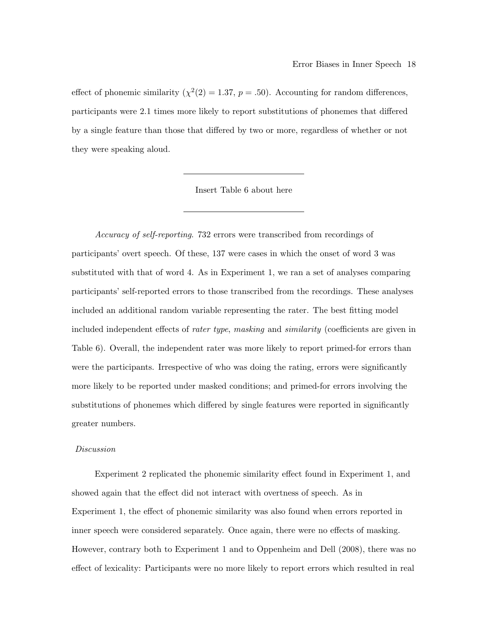effect of phonemic similarity  $(\chi^2(2) = 1.37, p = .50)$ . Accounting for random differences, participants were 2.1 times more likely to report substitutions of phonemes that differed by a single feature than those that differed by two or more, regardless of whether or not they were speaking aloud.

Insert Table 6 about here

Accuracy of self-reporting. 732 errors were transcribed from recordings of participants' overt speech. Of these, 137 were cases in which the onset of word 3 was substituted with that of word 4. As in Experiment 1, we ran a set of analyses comparing participants' self-reported errors to those transcribed from the recordings. These analyses included an additional random variable representing the rater. The best fitting model included independent effects of rater type, masking and similarity (coefficients are given in Table 6). Overall, the independent rater was more likely to report primed-for errors than were the participants. Irrespective of who was doing the rating, errors were significantly more likely to be reported under masked conditions; and primed-for errors involving the substitutions of phonemes which differed by single features were reported in significantly greater numbers.

#### Discussion

Experiment 2 replicated the phonemic similarity effect found in Experiment 1, and showed again that the effect did not interact with overtness of speech. As in Experiment 1, the effect of phonemic similarity was also found when errors reported in inner speech were considered separately. Once again, there were no effects of masking. However, contrary both to Experiment 1 and to Oppenheim and Dell (2008), there was no effect of lexicality: Participants were no more likely to report errors which resulted in real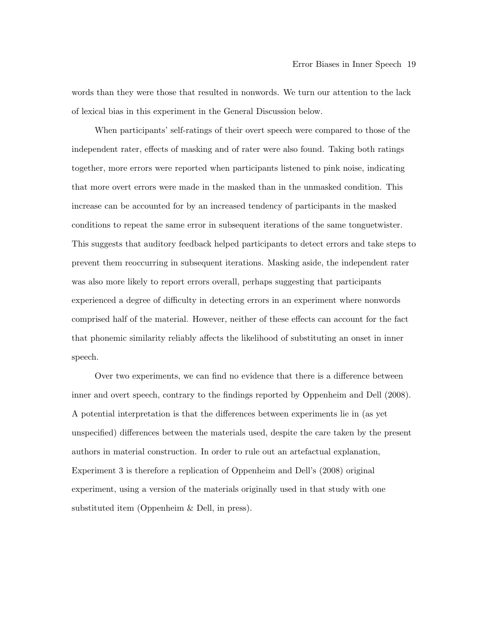words than they were those that resulted in nonwords. We turn our attention to the lack of lexical bias in this experiment in the General Discussion below.

When participants' self-ratings of their overt speech were compared to those of the independent rater, effects of masking and of rater were also found. Taking both ratings together, more errors were reported when participants listened to pink noise, indicating that more overt errors were made in the masked than in the unmasked condition. This increase can be accounted for by an increased tendency of participants in the masked conditions to repeat the same error in subsequent iterations of the same tonguetwister. This suggests that auditory feedback helped participants to detect errors and take steps to prevent them reoccurring in subsequent iterations. Masking aside, the independent rater was also more likely to report errors overall, perhaps suggesting that participants experienced a degree of difficulty in detecting errors in an experiment where nonwords comprised half of the material. However, neither of these effects can account for the fact that phonemic similarity reliably affects the likelihood of substituting an onset in inner speech.

Over two experiments, we can find no evidence that there is a difference between inner and overt speech, contrary to the findings reported by Oppenheim and Dell (2008). A potential interpretation is that the differences between experiments lie in (as yet unspecified) differences between the materials used, despite the care taken by the present authors in material construction. In order to rule out an artefactual explanation, Experiment 3 is therefore a replication of Oppenheim and Dell's (2008) original experiment, using a version of the materials originally used in that study with one substituted item (Oppenheim & Dell, in press).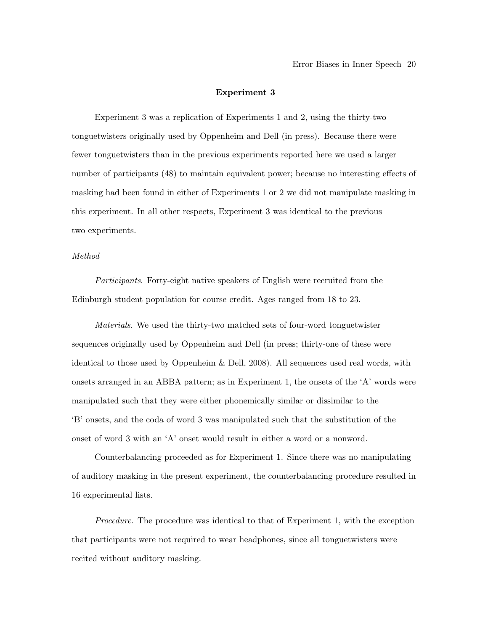#### Experiment 3

Experiment 3 was a replication of Experiments 1 and 2, using the thirty-two tonguetwisters originally used by Oppenheim and Dell (in press). Because there were fewer tonguetwisters than in the previous experiments reported here we used a larger number of participants (48) to maintain equivalent power; because no interesting effects of masking had been found in either of Experiments 1 or 2 we did not manipulate masking in this experiment. In all other respects, Experiment 3 was identical to the previous two experiments.

#### Method

Participants. Forty-eight native speakers of English were recruited from the Edinburgh student population for course credit. Ages ranged from 18 to 23.

Materials. We used the thirty-two matched sets of four-word tonguetwister sequences originally used by Oppenheim and Dell (in press; thirty-one of these were identical to those used by Oppenheim & Dell, 2008). All sequences used real words, with onsets arranged in an ABBA pattern; as in Experiment 1, the onsets of the 'A' words were manipulated such that they were either phonemically similar or dissimilar to the 'B' onsets, and the coda of word 3 was manipulated such that the substitution of the onset of word 3 with an 'A' onset would result in either a word or a nonword.

Counterbalancing proceeded as for Experiment 1. Since there was no manipulating of auditory masking in the present experiment, the counterbalancing procedure resulted in 16 experimental lists.

Procedure. The procedure was identical to that of Experiment 1, with the exception that participants were not required to wear headphones, since all tonguetwisters were recited without auditory masking.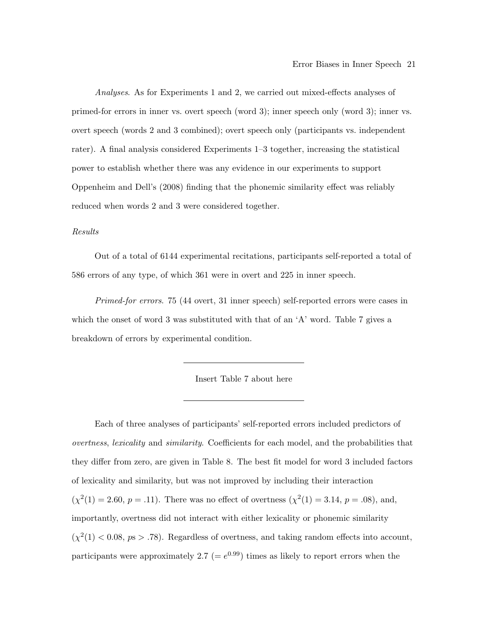Analyses. As for Experiments 1 and 2, we carried out mixed-effects analyses of primed-for errors in inner vs. overt speech (word 3); inner speech only (word 3); inner vs. overt speech (words 2 and 3 combined); overt speech only (participants vs. independent rater). A final analysis considered Experiments 1–3 together, increasing the statistical power to establish whether there was any evidence in our experiments to support Oppenheim and Dell's (2008) finding that the phonemic similarity effect was reliably reduced when words 2 and 3 were considered together.

#### Results

Out of a total of 6144 experimental recitations, participants self-reported a total of 586 errors of any type, of which 361 were in overt and 225 in inner speech.

Primed-for errors. 75 (44 overt, 31 inner speech) self-reported errors were cases in which the onset of word 3 was substituted with that of an 'A' word. Table 7 gives a breakdown of errors by experimental condition.

Insert Table 7 about here

Each of three analyses of participants' self-reported errors included predictors of overtness, lexicality and similarity. Coefficients for each model, and the probabilities that they differ from zero, are given in Table 8. The best fit model for word 3 included factors of lexicality and similarity, but was not improved by including their interaction  $(\chi^2(1) = 2.60, p = .11)$ . There was no effect of overtness  $(\chi^2(1) = 3.14, p = .08)$ , and, importantly, overtness did not interact with either lexicality or phonemic similarity  $(\chi^2(1)$  < 0.08, ps > .78). Regardless of overtness, and taking random effects into account, participants were approximately 2.7 (=  $e^{0.99}$ ) times as likely to report errors when the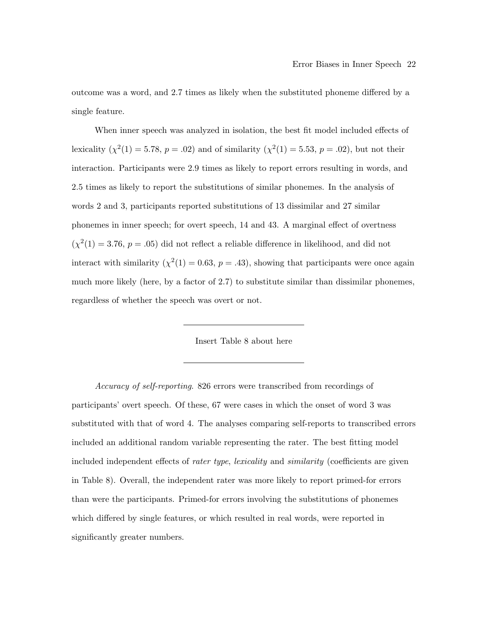outcome was a word, and 2.7 times as likely when the substituted phoneme differed by a single feature.

When inner speech was analyzed in isolation, the best fit model included effects of lexicality  $(\chi^2(1) = 5.78, p = .02)$  and of similarity  $(\chi^2(1) = 5.53, p = .02)$ , but not their interaction. Participants were 2.9 times as likely to report errors resulting in words, and 2.5 times as likely to report the substitutions of similar phonemes. In the analysis of words 2 and 3, participants reported substitutions of 13 dissimilar and 27 similar phonemes in inner speech; for overt speech, 14 and 43. A marginal effect of overtness  $(\chi^2(1) = 3.76, p = .05)$  did not reflect a reliable difference in likelihood, and did not interact with similarity  $(\chi^2(1) = 0.63, p = .43)$ , showing that participants were once again much more likely (here, by a factor of 2.7) to substitute similar than dissimilar phonemes, regardless of whether the speech was overt or not.

Insert Table 8 about here

Accuracy of self-reporting. 826 errors were transcribed from recordings of participants' overt speech. Of these, 67 were cases in which the onset of word 3 was substituted with that of word 4. The analyses comparing self-reports to transcribed errors included an additional random variable representing the rater. The best fitting model included independent effects of rater type, lexicality and similarity (coefficients are given in Table 8). Overall, the independent rater was more likely to report primed-for errors than were the participants. Primed-for errors involving the substitutions of phonemes which differed by single features, or which resulted in real words, were reported in significantly greater numbers.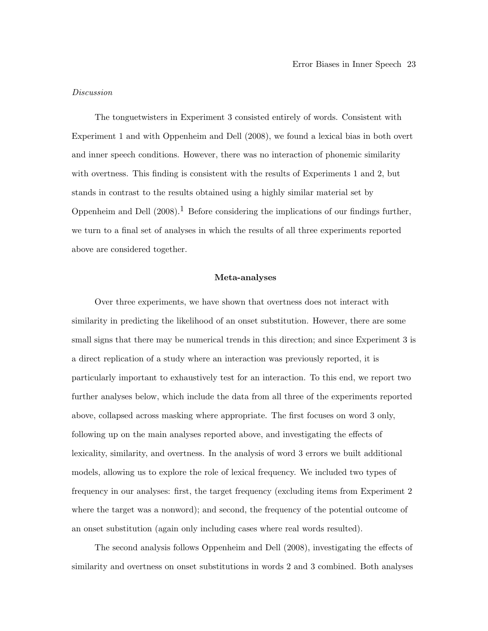#### Discussion

The tonguetwisters in Experiment 3 consisted entirely of words. Consistent with Experiment 1 and with Oppenheim and Dell (2008), we found a lexical bias in both overt and inner speech conditions. However, there was no interaction of phonemic similarity with overtness. This finding is consistent with the results of Experiments 1 and 2, but stands in contrast to the results obtained using a highly similar material set by Oppenheim and Dell  $(2008)$ .<sup>1</sup> Before considering the implications of our findings further, we turn to a final set of analyses in which the results of all three experiments reported above are considered together.

#### Meta-analyses

Over three experiments, we have shown that overtness does not interact with similarity in predicting the likelihood of an onset substitution. However, there are some small signs that there may be numerical trends in this direction; and since Experiment 3 is a direct replication of a study where an interaction was previously reported, it is particularly important to exhaustively test for an interaction. To this end, we report two further analyses below, which include the data from all three of the experiments reported above, collapsed across masking where appropriate. The first focuses on word 3 only, following up on the main analyses reported above, and investigating the effects of lexicality, similarity, and overtness. In the analysis of word 3 errors we built additional models, allowing us to explore the role of lexical frequency. We included two types of frequency in our analyses: first, the target frequency (excluding items from Experiment 2 where the target was a nonword); and second, the frequency of the potential outcome of an onset substitution (again only including cases where real words resulted).

The second analysis follows Oppenheim and Dell (2008), investigating the effects of similarity and overtness on onset substitutions in words 2 and 3 combined. Both analyses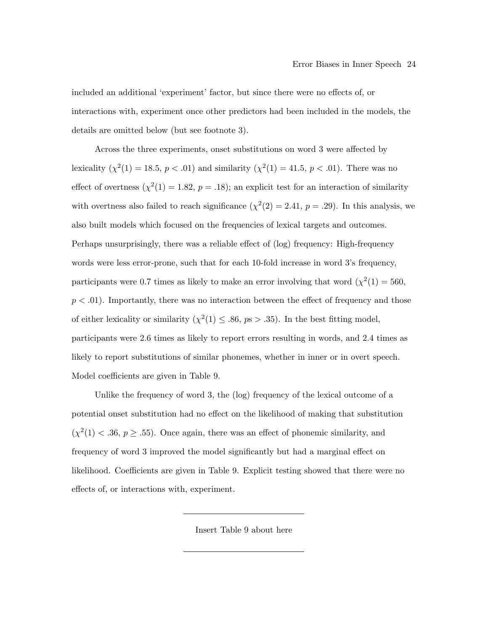included an additional 'experiment' factor, but since there were no effects of, or interactions with, experiment once other predictors had been included in the models, the details are omitted below (but see footnote 3).

Across the three experiments, onset substitutions on word 3 were affected by lexicality  $(\chi^2(1) = 18.5, p < .01)$  and similarity  $(\chi^2(1) = 41.5, p < .01)$ . There was no effect of overtness  $(\chi^2(1) = 1.82, p = .18)$ ; an explicit test for an interaction of similarity with overtness also failed to reach significance  $(\chi^2(2) = 2.41, p = .29)$ . In this analysis, we also built models which focused on the frequencies of lexical targets and outcomes. Perhaps unsurprisingly, there was a reliable effect of (log) frequency: High-frequency words were less error-prone, such that for each 10-fold increase in word 3's frequency, participants were 0.7 times as likely to make an error involving that word  $(\chi^2(1) = 560,$  $p < .01$ ). Importantly, there was no interaction between the effect of frequency and those of either lexicality or similarity  $(\chi^2(1) \leq .86, p s > .35)$ . In the best fitting model, participants were 2.6 times as likely to report errors resulting in words, and 2.4 times as likely to report substitutions of similar phonemes, whether in inner or in overt speech. Model coefficients are given in Table 9.

Unlike the frequency of word 3, the (log) frequency of the lexical outcome of a potential onset substitution had no effect on the likelihood of making that substitution  $(\chi^2(1) < .36, p \ge .55)$ . Once again, there was an effect of phonemic similarity, and frequency of word 3 improved the model significantly but had a marginal effect on likelihood. Coefficients are given in Table 9. Explicit testing showed that there were no effects of, or interactions with, experiment.

Insert Table 9 about here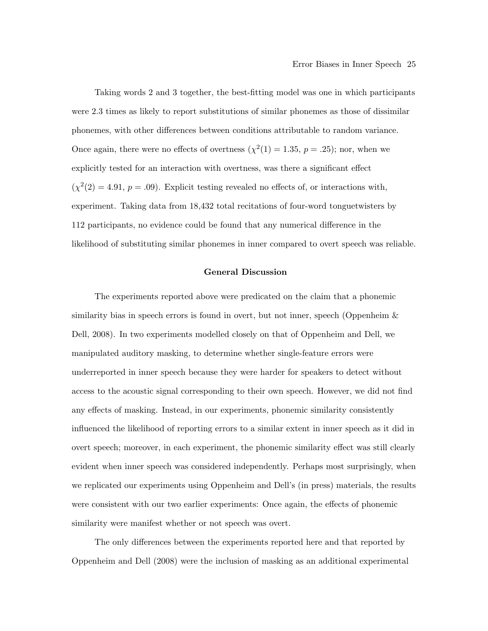Taking words 2 and 3 together, the best-fitting model was one in which participants were 2.3 times as likely to report substitutions of similar phonemes as those of dissimilar phonemes, with other differences between conditions attributable to random variance. Once again, there were no effects of overtness  $(\chi^2(1) = 1.35, p = .25)$ ; nor, when we explicitly tested for an interaction with overtness, was there a significant effect  $(\chi^2(2) = 4.91, p = .09)$ . Explicit testing revealed no effects of, or interactions with, experiment. Taking data from 18,432 total recitations of four-word tonguetwisters by 112 participants, no evidence could be found that any numerical difference in the likelihood of substituting similar phonemes in inner compared to overt speech was reliable.

#### General Discussion

The experiments reported above were predicated on the claim that a phonemic similarity bias in speech errors is found in overt, but not inner, speech (Oppenheim & Dell, 2008). In two experiments modelled closely on that of Oppenheim and Dell, we manipulated auditory masking, to determine whether single-feature errors were underreported in inner speech because they were harder for speakers to detect without access to the acoustic signal corresponding to their own speech. However, we did not find any effects of masking. Instead, in our experiments, phonemic similarity consistently influenced the likelihood of reporting errors to a similar extent in inner speech as it did in overt speech; moreover, in each experiment, the phonemic similarity effect was still clearly evident when inner speech was considered independently. Perhaps most surprisingly, when we replicated our experiments using Oppenheim and Dell's (in press) materials, the results were consistent with our two earlier experiments: Once again, the effects of phonemic similarity were manifest whether or not speech was overt.

The only differences between the experiments reported here and that reported by Oppenheim and Dell (2008) were the inclusion of masking as an additional experimental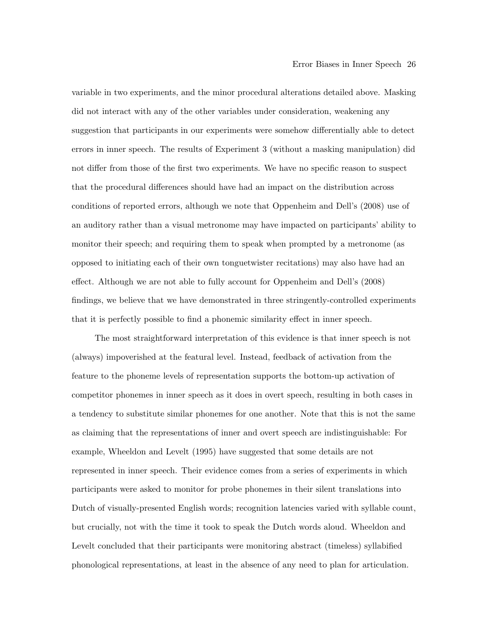variable in two experiments, and the minor procedural alterations detailed above. Masking did not interact with any of the other variables under consideration, weakening any suggestion that participants in our experiments were somehow differentially able to detect errors in inner speech. The results of Experiment 3 (without a masking manipulation) did not differ from those of the first two experiments. We have no specific reason to suspect that the procedural differences should have had an impact on the distribution across conditions of reported errors, although we note that Oppenheim and Dell's (2008) use of an auditory rather than a visual metronome may have impacted on participants' ability to monitor their speech; and requiring them to speak when prompted by a metronome (as opposed to initiating each of their own tonguetwister recitations) may also have had an effect. Although we are not able to fully account for Oppenheim and Dell's (2008) findings, we believe that we have demonstrated in three stringently-controlled experiments that it is perfectly possible to find a phonemic similarity effect in inner speech.

The most straightforward interpretation of this evidence is that inner speech is not (always) impoverished at the featural level. Instead, feedback of activation from the feature to the phoneme levels of representation supports the bottom-up activation of competitor phonemes in inner speech as it does in overt speech, resulting in both cases in a tendency to substitute similar phonemes for one another. Note that this is not the same as claiming that the representations of inner and overt speech are indistinguishable: For example, Wheeldon and Levelt (1995) have suggested that some details are not represented in inner speech. Their evidence comes from a series of experiments in which participants were asked to monitor for probe phonemes in their silent translations into Dutch of visually-presented English words; recognition latencies varied with syllable count, but crucially, not with the time it took to speak the Dutch words aloud. Wheeldon and Levelt concluded that their participants were monitoring abstract (timeless) syllabified phonological representations, at least in the absence of any need to plan for articulation.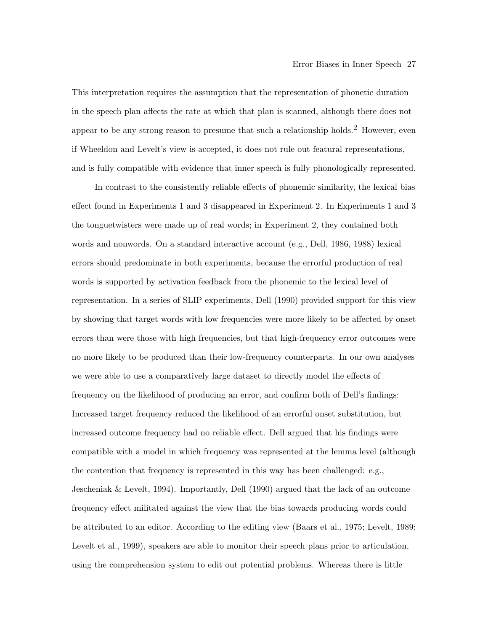This interpretation requires the assumption that the representation of phonetic duration in the speech plan affects the rate at which that plan is scanned, although there does not appear to be any strong reason to presume that such a relationship holds.<sup>2</sup> However, even if Wheeldon and Levelt's view is accepted, it does not rule out featural representations, and is fully compatible with evidence that inner speech is fully phonologically represented.

In contrast to the consistently reliable effects of phonemic similarity, the lexical bias effect found in Experiments 1 and 3 disappeared in Experiment 2. In Experiments 1 and 3 the tonguetwisters were made up of real words; in Experiment 2, they contained both words and nonwords. On a standard interactive account (e.g., Dell, 1986, 1988) lexical errors should predominate in both experiments, because the errorful production of real words is supported by activation feedback from the phonemic to the lexical level of representation. In a series of SLIP experiments, Dell (1990) provided support for this view by showing that target words with low frequencies were more likely to be affected by onset errors than were those with high frequencies, but that high-frequency error outcomes were no more likely to be produced than their low-frequency counterparts. In our own analyses we were able to use a comparatively large dataset to directly model the effects of frequency on the likelihood of producing an error, and confirm both of Dell's findings: Increased target frequency reduced the likelihood of an errorful onset substitution, but increased outcome frequency had no reliable effect. Dell argued that his findings were compatible with a model in which frequency was represented at the lemma level (although the contention that frequency is represented in this way has been challenged: e.g., Jescheniak & Levelt, 1994). Importantly, Dell (1990) argued that the lack of an outcome frequency effect militated against the view that the bias towards producing words could be attributed to an editor. According to the editing view (Baars et al., 1975; Levelt, 1989; Levelt et al., 1999), speakers are able to monitor their speech plans prior to articulation, using the comprehension system to edit out potential problems. Whereas there is little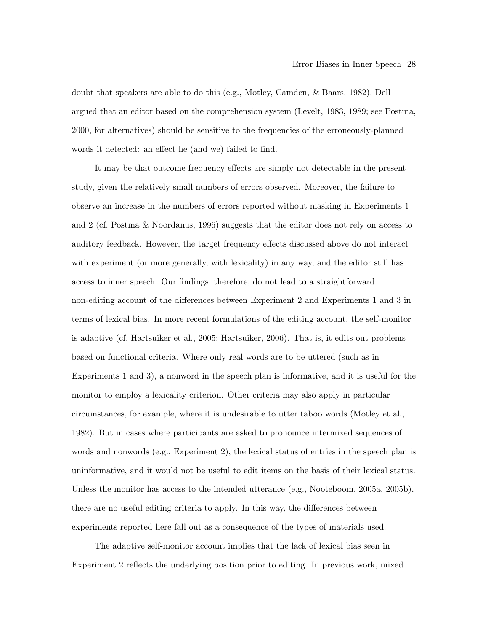doubt that speakers are able to do this (e.g., Motley, Camden, & Baars, 1982), Dell argued that an editor based on the comprehension system (Levelt, 1983, 1989; see Postma, 2000, for alternatives) should be sensitive to the frequencies of the erroneously-planned words it detected: an effect he (and we) failed to find.

It may be that outcome frequency effects are simply not detectable in the present study, given the relatively small numbers of errors observed. Moreover, the failure to observe an increase in the numbers of errors reported without masking in Experiments 1 and 2 (cf. Postma & Noordanus, 1996) suggests that the editor does not rely on access to auditory feedback. However, the target frequency effects discussed above do not interact with experiment (or more generally, with lexicality) in any way, and the editor still has access to inner speech. Our findings, therefore, do not lead to a straightforward non-editing account of the differences between Experiment 2 and Experiments 1 and 3 in terms of lexical bias. In more recent formulations of the editing account, the self-monitor is adaptive (cf. Hartsuiker et al., 2005; Hartsuiker, 2006). That is, it edits out problems based on functional criteria. Where only real words are to be uttered (such as in Experiments 1 and 3), a nonword in the speech plan is informative, and it is useful for the monitor to employ a lexicality criterion. Other criteria may also apply in particular circumstances, for example, where it is undesirable to utter taboo words (Motley et al., 1982). But in cases where participants are asked to pronounce intermixed sequences of words and nonwords (e.g., Experiment 2), the lexical status of entries in the speech plan is uninformative, and it would not be useful to edit items on the basis of their lexical status. Unless the monitor has access to the intended utterance (e.g., Nooteboom, 2005a, 2005b), there are no useful editing criteria to apply. In this way, the differences between experiments reported here fall out as a consequence of the types of materials used.

The adaptive self-monitor account implies that the lack of lexical bias seen in Experiment 2 reflects the underlying position prior to editing. In previous work, mixed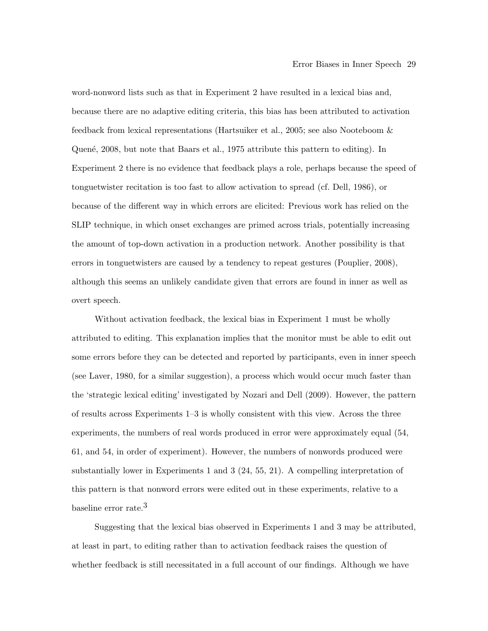word-nonword lists such as that in Experiment 2 have resulted in a lexical bias and, because there are no adaptive editing criteria, this bias has been attributed to activation feedback from lexical representations (Hartsuiker et al., 2005; see also Nooteboom & Quené, 2008, but note that Baars et al., 1975 attribute this pattern to editing). In Experiment 2 there is no evidence that feedback plays a role, perhaps because the speed of tonguetwister recitation is too fast to allow activation to spread (cf. Dell, 1986), or because of the different way in which errors are elicited: Previous work has relied on the SLIP technique, in which onset exchanges are primed across trials, potentially increasing the amount of top-down activation in a production network. Another possibility is that errors in tonguetwisters are caused by a tendency to repeat gestures (Pouplier, 2008), although this seems an unlikely candidate given that errors are found in inner as well as overt speech.

Without activation feedback, the lexical bias in Experiment 1 must be wholly attributed to editing. This explanation implies that the monitor must be able to edit out some errors before they can be detected and reported by participants, even in inner speech (see Laver, 1980, for a similar suggestion), a process which would occur much faster than the 'strategic lexical editing' investigated by Nozari and Dell (2009). However, the pattern of results across Experiments 1–3 is wholly consistent with this view. Across the three experiments, the numbers of real words produced in error were approximately equal (54, 61, and 54, in order of experiment). However, the numbers of nonwords produced were substantially lower in Experiments 1 and 3 (24, 55, 21). A compelling interpretation of this pattern is that nonword errors were edited out in these experiments, relative to a baseline error rate.3

Suggesting that the lexical bias observed in Experiments 1 and 3 may be attributed, at least in part, to editing rather than to activation feedback raises the question of whether feedback is still necessitated in a full account of our findings. Although we have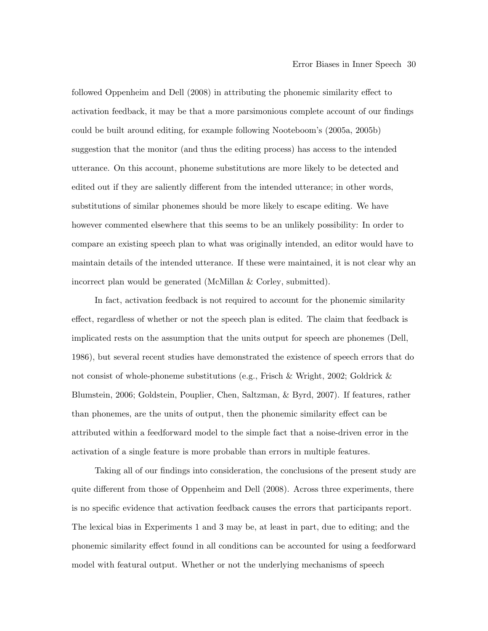followed Oppenheim and Dell (2008) in attributing the phonemic similarity effect to activation feedback, it may be that a more parsimonious complete account of our findings could be built around editing, for example following Nooteboom's (2005a, 2005b) suggestion that the monitor (and thus the editing process) has access to the intended utterance. On this account, phoneme substitutions are more likely to be detected and edited out if they are saliently different from the intended utterance; in other words, substitutions of similar phonemes should be more likely to escape editing. We have however commented elsewhere that this seems to be an unlikely possibility: In order to compare an existing speech plan to what was originally intended, an editor would have to maintain details of the intended utterance. If these were maintained, it is not clear why an incorrect plan would be generated (McMillan & Corley, submitted).

In fact, activation feedback is not required to account for the phonemic similarity effect, regardless of whether or not the speech plan is edited. The claim that feedback is implicated rests on the assumption that the units output for speech are phonemes (Dell, 1986), but several recent studies have demonstrated the existence of speech errors that do not consist of whole-phoneme substitutions (e.g., Frisch & Wright, 2002; Goldrick & Blumstein, 2006; Goldstein, Pouplier, Chen, Saltzman, & Byrd, 2007). If features, rather than phonemes, are the units of output, then the phonemic similarity effect can be attributed within a feedforward model to the simple fact that a noise-driven error in the activation of a single feature is more probable than errors in multiple features.

Taking all of our findings into consideration, the conclusions of the present study are quite different from those of Oppenheim and Dell (2008). Across three experiments, there is no specific evidence that activation feedback causes the errors that participants report. The lexical bias in Experiments 1 and 3 may be, at least in part, due to editing; and the phonemic similarity effect found in all conditions can be accounted for using a feedforward model with featural output. Whether or not the underlying mechanisms of speech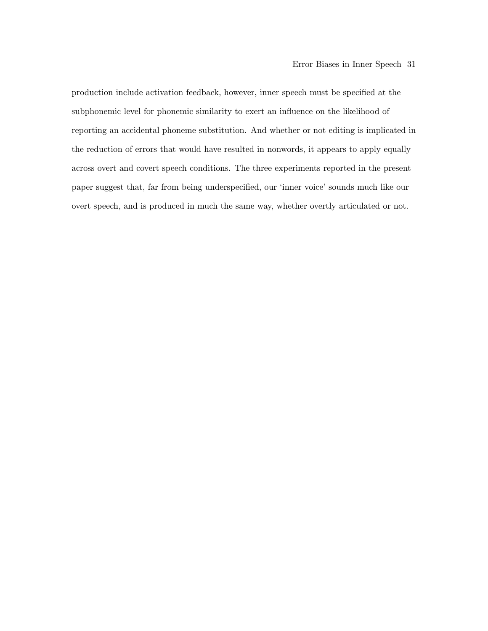production include activation feedback, however, inner speech must be specified at the subphonemic level for phonemic similarity to exert an influence on the likelihood of reporting an accidental phoneme substitution. And whether or not editing is implicated in the reduction of errors that would have resulted in nonwords, it appears to apply equally across overt and covert speech conditions. The three experiments reported in the present paper suggest that, far from being underspecified, our 'inner voice' sounds much like our overt speech, and is produced in much the same way, whether overtly articulated or not.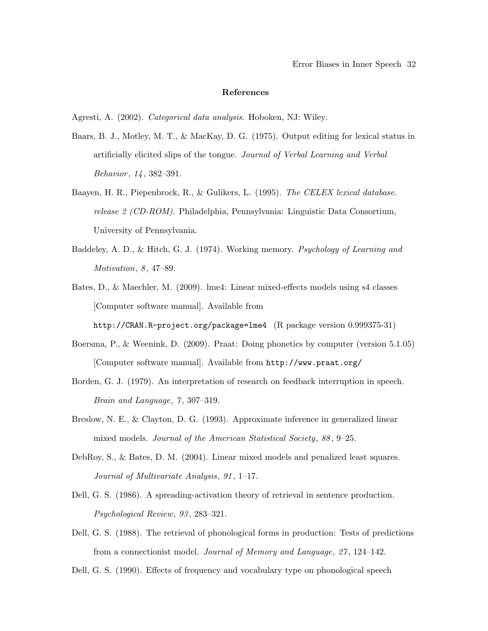#### References

Agresti, A. (2002). Categorical data analysis. Hoboken, NJ: Wiley.

- Baars, B. J., Motley, M. T., & MacKay, D. G. (1975). Output editing for lexical status in artificially elicited slips of the tongue. Journal of Verbal Learning and Verbal Behavior, 14, 382–391.
- Baayen, H. R., Piepenbrock, R., & Gulikers, L. (1995). The CELEX lexical database. release 2 (CD-ROM). Philadelphia, Pennsylvania: Linguistic Data Consortium, University of Pennsylvania.
- Baddeley, A. D., & Hitch, G. J. (1974). Working memory. Psychology of Learning and Motivation, 8, 47–89.
- Bates, D., & Maechler, M. (2009). lme4: Linear mixed-effects models using s4 classes [Computer software manual]. Available from

http://CRAN.R-project.org/package=lme4 (R package version 0.999375-31)

- Boersma, P., & Weenink, D. (2009). Praat: Doing phonetics by computer (version 5.1.05) [Computer software manual]. Available from http://www.praat.org/
- Borden, G. J. (1979). An interpretation of research on feedback interruption in speech. Brain and Language,  $7, 307-319$ .
- Breslow, N. E., & Clayton, D. G. (1993). Approximate inference in generalized linear mixed models. Journal of the American Statistical Society, 88, 9–25.
- DebRoy, S., & Bates, D. M. (2004). Linear mixed models and penalized least squares. Journal of Multivariate Analysis, 91 , 1–17.
- Dell, G. S. (1986). A spreading-activation theory of retrieval in sentence production. Psychological Review, 93 , 283–321.
- Dell, G. S. (1988). The retrieval of phonological forms in production: Tests of predictions from a connectionist model. Journal of Memory and Language, 27 , 124–142.

Dell, G. S. (1990). Effects of frequency and vocabulary type on phonological speech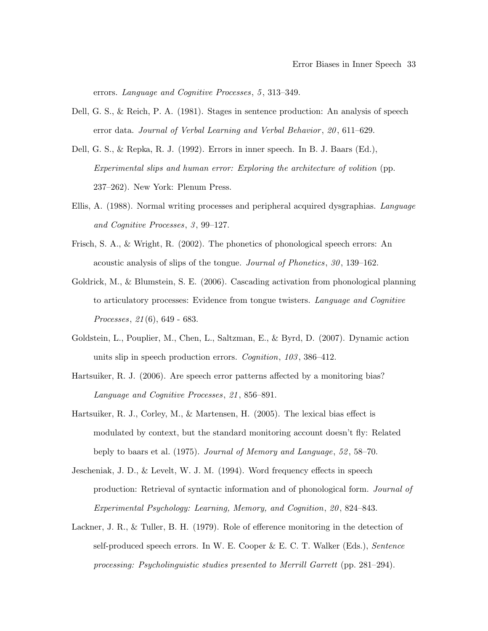errors. Language and Cognitive Processes, 5, 313-349.

- Dell, G. S., & Reich, P. A. (1981). Stages in sentence production: An analysis of speech error data. Journal of Verbal Learning and Verbal Behavior, 20, 611–629.
- Dell, G. S., & Repka, R. J. (1992). Errors in inner speech. In B. J. Baars (Ed.), Experimental slips and human error: Exploring the architecture of volition (pp. 237–262). New York: Plenum Press.
- Ellis, A. (1988). Normal writing processes and peripheral acquired dysgraphias. Language and Cognitive Processes, 3 , 99–127.
- Frisch, S. A., & Wright, R. (2002). The phonetics of phonological speech errors: An acoustic analysis of slips of the tongue. Journal of Phonetics, 30 , 139–162.
- Goldrick, M., & Blumstein, S. E. (2006). Cascading activation from phonological planning to articulatory processes: Evidence from tongue twisters. Language and Cognitive Processes, 21 (6), 649 - 683.
- Goldstein, L., Pouplier, M., Chen, L., Saltzman, E., & Byrd, D. (2007). Dynamic action units slip in speech production errors. *Cognition*, 103, 386–412.
- Hartsuiker, R. J. (2006). Are speech error patterns affected by a monitoring bias? Language and Cognitive Processes, 21 , 856–891.
- Hartsuiker, R. J., Corley, M., & Martensen, H. (2005). The lexical bias effect is modulated by context, but the standard monitoring account doesn't fly: Related beply to baars et al. (1975). Journal of Memory and Language, 52 , 58–70.
- Jescheniak, J. D., & Levelt, W. J. M. (1994). Word frequency effects in speech production: Retrieval of syntactic information and of phonological form. Journal of Experimental Psychology: Learning, Memory, and Cognition, 20 , 824–843.
- Lackner, J. R., & Tuller, B. H. (1979). Role of efference monitoring in the detection of self-produced speech errors. In W. E. Cooper & E. C. T. Walker (Eds.), Sentence processing: Psycholinguistic studies presented to Merrill Garrett (pp. 281–294).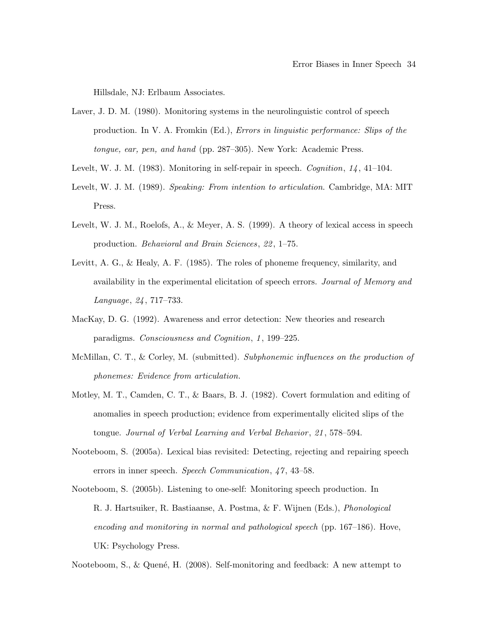Hillsdale, NJ: Erlbaum Associates.

- Laver, J. D. M. (1980). Monitoring systems in the neurolinguistic control of speech production. In V. A. Fromkin (Ed.), Errors in linguistic performance: Slips of the tongue, ear, pen, and hand (pp. 287–305). New York: Academic Press.
- Levelt, W. J. M. (1983). Monitoring in self-repair in speech. Cognition, 14, 41–104.
- Levelt, W. J. M. (1989). Speaking: From intention to articulation. Cambridge, MA: MIT Press.
- Levelt, W. J. M., Roelofs, A., & Meyer, A. S. (1999). A theory of lexical access in speech production. Behavioral and Brain Sciences, 22 , 1–75.
- Levitt, A. G., & Healy, A. F. (1985). The roles of phoneme frequency, similarity, and availability in the experimental elicitation of speech errors. Journal of Memory and Language, 24 , 717–733.
- MacKay, D. G. (1992). Awareness and error detection: New theories and research paradigms. Consciousness and Cognition, 1 , 199–225.
- McMillan, C. T., & Corley, M. (submitted). Subphonemic influences on the production of phonemes: Evidence from articulation.
- Motley, M. T., Camden, C. T., & Baars, B. J. (1982). Covert formulation and editing of anomalies in speech production; evidence from experimentally elicited slips of the tongue. Journal of Verbal Learning and Verbal Behavior, 21, 578–594.
- Nooteboom, S. (2005a). Lexical bias revisited: Detecting, rejecting and repairing speech errors in inner speech. Speech Communication, 47, 43–58.
- Nooteboom, S. (2005b). Listening to one-self: Monitoring speech production. In R. J. Hartsuiker, R. Bastiaanse, A. Postma, & F. Wijnen (Eds.), Phonological encoding and monitoring in normal and pathological speech (pp. 167–186). Hove, UK: Psychology Press.

Nooteboom, S., & Quené, H. (2008). Self-monitoring and feedback: A new attempt to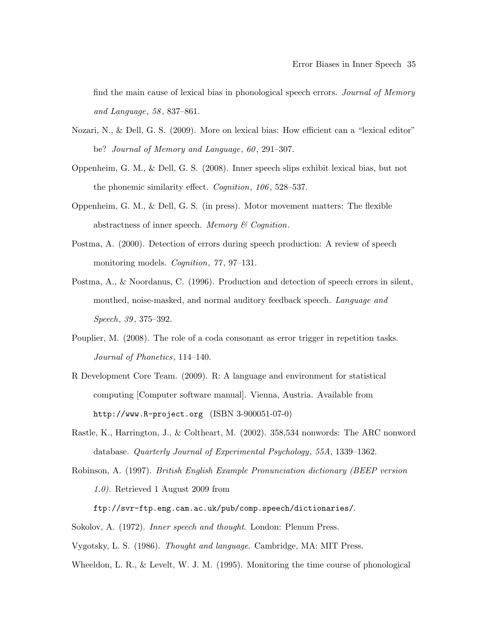find the main cause of lexical bias in phonological speech errors. Journal of Memory and Language, 58 , 837–861.

- Nozari, N., & Dell, G. S. (2009). More on lexical bias: How efficient can a "lexical editor" be? Journal of Memory and Language, 60, 291-307.
- Oppenheim, G. M., & Dell, G. S. (2008). Inner speech slips exhibit lexical bias, but not the phonemic similarity effect. *Cognition*, 106, 528–537.
- Oppenheim, G. M., & Dell, G. S. (in press). Motor movement matters: The flexible abstractness of inner speech. Memory  $\mathcal C$  Cognition.
- Postma, A. (2000). Detection of errors during speech production: A review of speech monitoring models. *Cognition*, 77, 97-131.
- Postma, A., & Noordanus, C. (1996). Production and detection of speech errors in silent, mouthed, noise-masked, and normal auditory feedback speech. Language and Speech, 39, 375–392.
- Pouplier, M. (2008). The role of a coda consonant as error trigger in repetition tasks. Journal of Phonetics, 114–140.
- R Development Core Team. (2009). R: A language and environment for statistical computing [Computer software manual]. Vienna, Austria. Available from http://www.R-project.org (ISBN 3-900051-07-0)
- Rastle, K., Harrington, J., & Coltheart, M. (2002). 358,534 nonwords: The ARC nonword database. Quarterly Journal of Experimental Psychology, 55A, 1339–1362.
- Robinson, A. (1997). British English Example Pronunciation dictionary (BEEP version 1.0). Retrieved 1 August 2009 from

ftp://svr-ftp.eng.cam.ac.uk/pub/comp.speech/dictionaries/.

Sokolov, A. (1972). Inner speech and thought. London: Plenum Press.

Vygotsky, L. S. (1986). Thought and language. Cambridge, MA: MIT Press.

Wheeldon, L. R., & Levelt, W. J. M. (1995). Monitoring the time course of phonological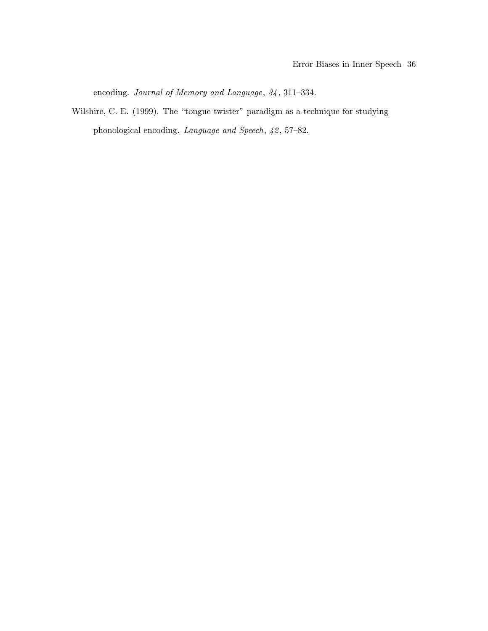encoding. Journal of Memory and Language,  $34$ , 311-334.

Wilshire, C. E. (1999). The "tongue twister" paradigm as a technique for studying phonological encoding. Language and Speech,  $42, 57-82$ .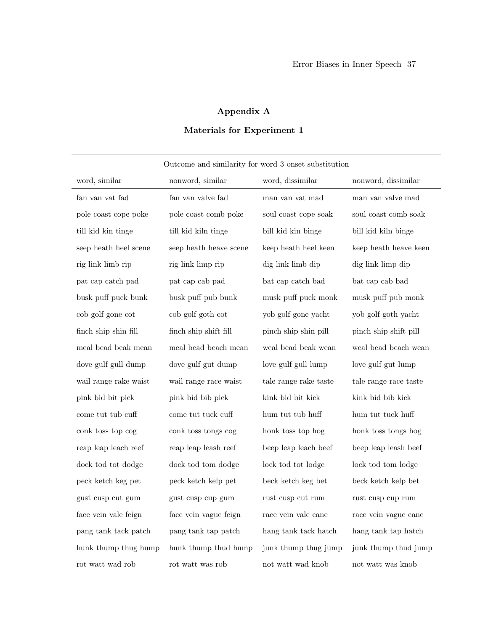## Appendix A

## Materials for Experiment 1

| Outcome and similarity for word 3 onset substitution |                                                     |                       |                       |  |  |  |
|------------------------------------------------------|-----------------------------------------------------|-----------------------|-----------------------|--|--|--|
| word, similar                                        | nonword, similar                                    | word, dissimilar      | nonword, dissimilar   |  |  |  |
| fan van vat fad                                      | fan van valve fad                                   | man van vat mad       | man van valve mad     |  |  |  |
| pole coast cope poke                                 | pole coast comb poke                                | soul coast cope soak  | soul coast comb soak  |  |  |  |
| till kid kin tinge                                   | till kid kiln tinge                                 | bill kid kin binge    | bill kid kiln binge   |  |  |  |
| seep heath heel scene                                | seep heath heave scene                              | keep heath heel keen  | keep heath heave keen |  |  |  |
| $\operatorname{rig}$ link limb $\operatorname{rip}$  | $\operatorname{rig}$ link limp $\operatorname{rip}$ | dig link limb dip     | dig link limp dip     |  |  |  |
| pat cap catch pad                                    | pat cap cab pad                                     | bat cap catch bad     | bat cap cab bad       |  |  |  |
| busk puff puck bunk                                  | busk puff pub bunk                                  | musk puff puck monk   | musk puff pub monk    |  |  |  |
| cob golf gone cot                                    | cob golf goth cot                                   | yob golf gone yacht   | yob golf goth yacht   |  |  |  |
| finch ship shin fill                                 | finch ship shift fill                               | pinch ship shin pill  | pinch ship shift pill |  |  |  |
| meal bead beak mean                                  | meal bead beach mean                                | weal bead beak wean   | weal bead beach wean  |  |  |  |
| dove gulf gull dump                                  | dove gulf gut dump                                  | love gulf gull lump   | love gulf gut lump    |  |  |  |
| wail range rake waist                                | wail range race waist                               | tale range rake taste | tale range race taste |  |  |  |
| pink bid bit pick                                    | pink bid bib pick                                   | kink bid bit kick     | kink bid bib kick     |  |  |  |
| come tut tub cuff                                    | come tut tuck cuff                                  | hum tut tub huff      | hum tut tuck huff     |  |  |  |
| conk toss top cog                                    | conk toss tongs cog                                 | honk toss top hog     | honk toss tongs hog   |  |  |  |
| reap leap leach reef                                 | reap leap leash reef                                | beep leap leach beef  | beep leap leash beef  |  |  |  |
| dock tod tot dodge                                   | dock tod tom dodge                                  | lock tod tot lodge    | lock tod tom lodge    |  |  |  |
| peck ketch keg pet                                   | ${\rm peck}$ ketch kelp ${\rm pet}$                 | beck ketch keg bet    | beck ketch kelp bet   |  |  |  |
| gust cusp cut gum                                    | gust cusp cup gum                                   | rust cusp cut rum     | rust cusp cup rum     |  |  |  |
| face vein vale feign                                 | face vein vague feign                               | race vein vale cane   | race vein vague cane  |  |  |  |
| pang tank tack patch                                 | pang tank tap patch                                 | hang tank tack hatch  | hang tank tap hatch   |  |  |  |
| hunk thump thug hump                                 | hunk thump thud hump                                | junk thump thug jump  | junk thump thud jump  |  |  |  |
| rot watt wad rob                                     | rot watt was rob                                    | not watt wad knob     | not watt was knob     |  |  |  |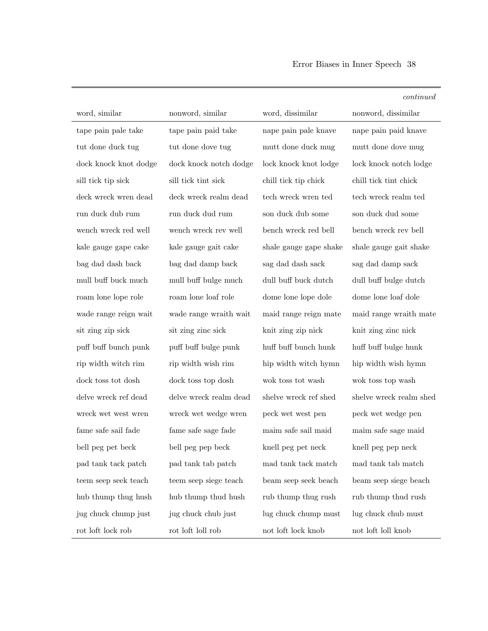|                       |                                                                                                                                                                                           |                        | continued                     |
|-----------------------|-------------------------------------------------------------------------------------------------------------------------------------------------------------------------------------------|------------------------|-------------------------------|
| word, similar         | nonword, similar                                                                                                                                                                          | word, dissimilar       | nonword, dissimilar           |
| tape pain pale take   | tape pain paid take                                                                                                                                                                       | nape pain pale knave   | nape pain paid knave          |
| tut done duck tug     | tut done dove tug                                                                                                                                                                         | mutt done duck mug     | mutt done dove mug            |
| dock knock knot dodge | dock knock notch dodge                                                                                                                                                                    | lock knock knot lodge  | lock knock notch lodge        |
| sill tick tip sick    | sill tick tint sick                                                                                                                                                                       | chill tick tip chick   | chill tick tint chick         |
| deck wreck wren dead  | deck wreck realm dead                                                                                                                                                                     | tech wreck wren ted    | tech wreck realm ted          |
| run duck dub rum      | run duck dud rum                                                                                                                                                                          | son duck dub some      | son duck dud some             |
| wench wreck red well  | wench wreck rev well                                                                                                                                                                      | bench wreck red bell   | bench wreck rev bell          |
| kale gauge gape cake  | kale gauge gait cake                                                                                                                                                                      | shale gauge gape shake | shale gauge gait shake        |
| bag dad dash back     | bag dad damp back                                                                                                                                                                         | sag dad dash sack      | $\rm sag$ dad damp $\rm back$ |
| mull buff buck much   | mull buff bulge much                                                                                                                                                                      | dull buff buck dutch   | dull buff bulge dutch         |
| roam lone lope role   | roam lone loaf role                                                                                                                                                                       | dome lone lope dole    | dome lone loaf dole           |
| wade range reign wait | wade range wraith wait                                                                                                                                                                    | maid range reign mate  | maid range wraith mate        |
| sit zing zip sick     | sit zing zinc sick                                                                                                                                                                        | knit zing zip nick     | knit zing zinc nick           |
| puff buff bunch punk  | puff buff bulge punk                                                                                                                                                                      | huff buff bunch hunk   | huff buff bulge hunk          |
| rip width witch rim   | rip width wish rim                                                                                                                                                                        | hip width witch hymn   | hip width wish hymn           |
| dock toss tot dosh    | dock toss top dosh                                                                                                                                                                        | wok toss tot wash      | wok toss top wash             |
| delve wreck ref dead  | delve wreck realm dead                                                                                                                                                                    | shelve wreck ref shed  | shelve wreck realm shed       |
| wreck wet west wren   | wreck wet wedge wren                                                                                                                                                                      | peck wet west pen      | peck wet wedge pen            |
| fame safe sail fade   | fame safe sage fade                                                                                                                                                                       | maim safe sail maid    | maim safe sage maid           |
| bell peg pet beck     | bell peg pep beck                                                                                                                                                                         | knell peg pet neck     | knell peg pep neck            |
| pad tank tack patch   | pad tank tab patch                                                                                                                                                                        | $\mod$ tank tack match | mad tank tab match            |
| teem seep seek teach  | teem seep siege teach                                                                                                                                                                     | beam seep seek beach   | beam seep siege beach         |
| hub thump thug hush   | hub thump thud hush                                                                                                                                                                       | rub thump thug rush    | rub thump thud rush           |
| jug chuck chump just  | jug chuck chub just                                                                                                                                                                       | lug chuck chump must   | lug chuck chub must           |
| rot loft lock rob     | $\operatorname*{rot}% \operatorname*{Id}\nolimits_{\operatorname*{Id}}$ for $\operatorname*{Id}% \nolimits_{\operatorname*{Id}}$ for $\operatorname*{Id}% \nolimits_{\operatorname*{Id}}$ | not loft lock knob     | not loft loll knob            |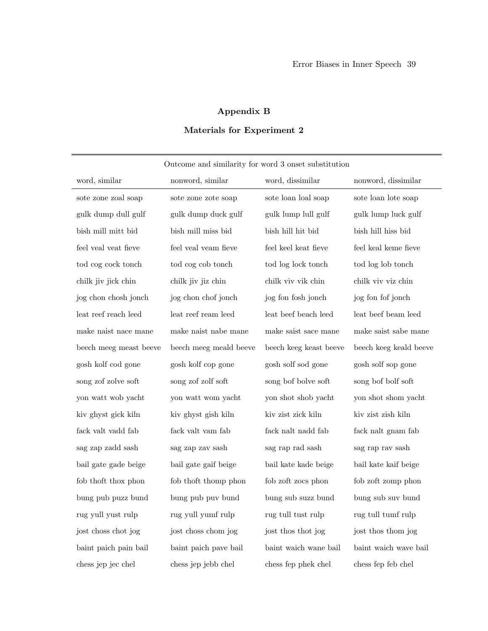## Appendix B

## Materials for Experiment 2

| Outcome and similarity for word 3 onset substitution |                        |                        |                        |  |  |  |
|------------------------------------------------------|------------------------|------------------------|------------------------|--|--|--|
| word, similar                                        | nonword, similar       | word, dissimilar       | nonword, dissimilar    |  |  |  |
| sote zone zoal soap                                  | sote zone zote soap    | sote loan loal soap    | sote loan lote soap    |  |  |  |
| gulk dump dull gulf                                  | gulk dump duck gulf    | gulk lump lull gulf    | gulk lump luck gulf    |  |  |  |
| bish mill mitt bid                                   | bish mill miss bid     | bish hill hit bid      | bish hill hiss bid     |  |  |  |
| feel veal veat fieve                                 | feel veal veam fieve   | feel keel keat fieve   | feel keal keme fieve   |  |  |  |
| tod cog cock tonch                                   | tod cog cob tonch      | tod log lock tonch     | tod log lob tonch      |  |  |  |
| chilk jiv jick chin                                  | chilk jiv jiz chin     | chilk viv vik chin     | chilk viv viz chin     |  |  |  |
| jog chon chosh jonch                                 | jog chon chof jonch    | jog fon fosh jonch     | jog fon fof jonch      |  |  |  |
| leat reef reach leed                                 | leat reef ream leed    | leat beef beach leed   | leat beef beam leed    |  |  |  |
| make naist nace mane                                 | make naist nabe mane   | make saist sace mane   | make saist sabe mane   |  |  |  |
| beech meeg meast beeve                               | beech meeg meald beeve | beech keeg keast beeve | beech keeg keald beeve |  |  |  |
| gosh kolf cod gone                                   | gosh kolf cop gone     | gosh solf sod gone     | gosh solf sop gone     |  |  |  |
| song zof zolve soft                                  | song zof zolf soft     | song bof bolve soft    | song bof bolf soft     |  |  |  |
| yon watt wob yacht                                   | yon watt wom yacht     | yon shot shob yacht    | yon shot shom yacht    |  |  |  |
| kiv ghyst gick kiln                                  | kiv ghyst gish kiln    | kiv zist zick kiln     | kiv zist zish kiln     |  |  |  |
| fack valt vadd fab                                   | fack valt vam fab      | fack nalt nadd fab     | fack nalt gnam fab     |  |  |  |
| sag zap zadd sash                                    | sag zap zav sash       | sag rap rad sash       | sag rap rav sash       |  |  |  |
| bail gate gade beige                                 | bail gate gaif beige   | bail kate kade beige   | bail kate kaif beige   |  |  |  |
| fob thoft thox phon                                  | fob thoft thomp phon   | fob zoft zocs phon     | fob zoft zomp phon     |  |  |  |
| bung pub puzz bund                                   | bung pub puv bund      | bung sub suzz bund     | bung sub suv bund      |  |  |  |
| rug yull yust rulp                                   | rug yull yumf rulp     | rug tull tust rulp     | rug tull tumf rulp     |  |  |  |
| jost choss chot jog                                  | jost choss chom jog    | jost thos thot jog     | jost thos thom jog     |  |  |  |
| baint paich pain bail                                | baint paich pave bail  | baint waich wane bail  | baint waich wave bail  |  |  |  |
| chess jep jec chel                                   | chess jep jebb chel    | chess fep phek chel    | chess fep feb chel     |  |  |  |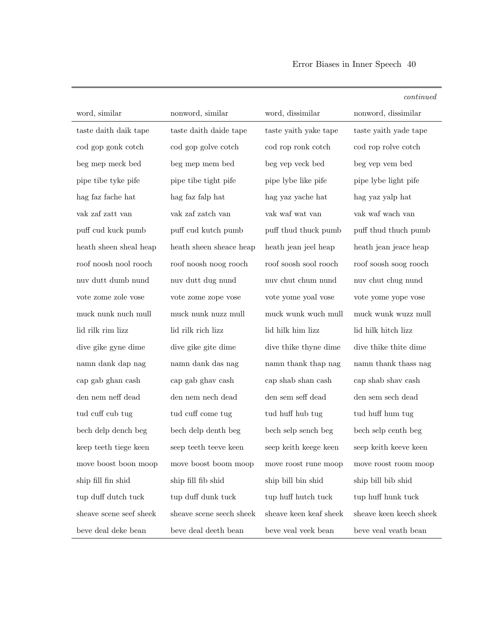|                         |                          |                        | continued               |
|-------------------------|--------------------------|------------------------|-------------------------|
| word, similar           | nonword, similar         | word, dissimilar       | nonword, dissimilar     |
| taste daith daik tape   | taste daith daide tape   | taste yaith yake tape  | taste yaith yade tape   |
| cod gop gonk cotch      | cod gop golve cotch      | cod rop ronk cotch     | cod rop rolve cotch     |
| beg mep meck bed        | beg mep mem bed          | beg vep veck bed       | beg vep vem bed         |
| pipe tibe tyke pife     | pipe tibe tight pife     | pipe lybe like pife    | pipe lybe light pife    |
| hag faz fache hat       | hag faz falp hat         | hag yaz yache hat      | hag yaz yalp hat        |
| vak zaf zatt van        | vak zaf zatch van        | vak waf wat van        | vak waf wach van        |
| puff cud kuck pumb      | puff cud kutch pumb      | puff thud thuck pumb   | puff thuch pumb         |
| heath sheen sheal heap  | heath sheen sheace heap  | heath jean jeel heap   | heath jean jeace heap   |
| roof noosh nool rooch   | roof noosh noog rooch    | roof soosh sool rooch  | roof soosh soog rooch   |
| nuv dutt dumb nund      | nuv dutt dug nund        | nuv chut chum nund     | nuv chut chug nund      |
| vote zome zole vose     | vote zome zope vose      | vote yome yoal vose    | vote yome yope vose     |
| muck nunk nuch mull     | muck nunk nuzz mull      | muck wunk wuch mull    | muck wunk wuzz mull     |
| lid rilk rim lizz       | lid rilk rich lizz       | lid hilk him lizz      | lid hilk hitch lizz     |
| dive gike gyne dime     | dive gike gite dime      | dive thike thyne dime  | dive thike thite dime   |
| namn dank dap nag       | namn dank das nag        | namn thank thap nag    | namn thank thas nag     |
| cap gab ghan cash       | cap gab ghav cash        | cap shab shan cash     | cap shab shav cash      |
| den nem neff dead       | den nem nech dead        | den sem seff dead      | den sem sech dead       |
| tud cuff cub tug        | tud cuff come tug        | tud huff hub tug       | tud huff hum tug        |
| bech delp dench beg     | bech delp denth beg      | bech selp sench beg    | bech selp centh beg     |
| keep teeth tiege keen   | seep teeth teeve keen    | seep keith keege keen  | seep keith keeve keen   |
| move boost boon moop    | move boost boom moop     | move roost rune moop   | move roost room moop    |
| ship fill fin shid      | ship fill fib shid       | ship bill bin shid     | ship bill bib shid      |
| tup duff dutch tuck     | tup duff dunk tuck       | tup huff hutch tuck    | tup huff hunk tuck      |
| sheave scene seef sheek | sheave scene seech sheek | sheave keen keaf sheek | sheave keen keech sheek |
| beve deal deke bean     | beve deal deeth bean     | beve veal veek bean    | beve veal veath bean    |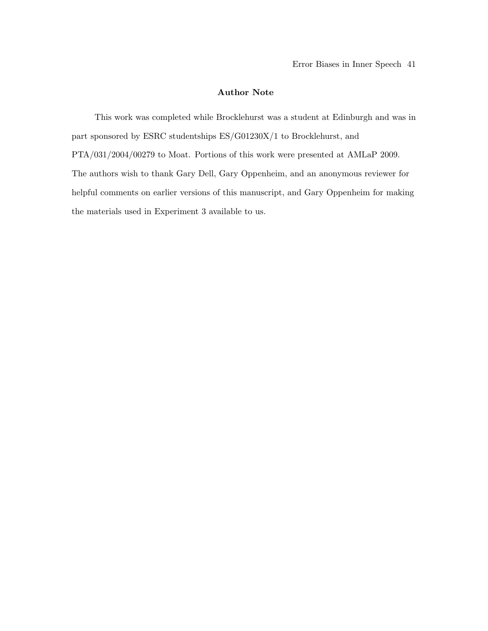#### Author Note

This work was completed while Brocklehurst was a student at Edinburgh and was in part sponsored by ESRC studentships ES/G01230X/1 to Brocklehurst, and PTA/031/2004/00279 to Moat. Portions of this work were presented at AMLaP 2009. The authors wish to thank Gary Dell, Gary Oppenheim, and an anonymous reviewer for helpful comments on earlier versions of this manuscript, and Gary Oppenheim for making the materials used in Experiment 3 available to us.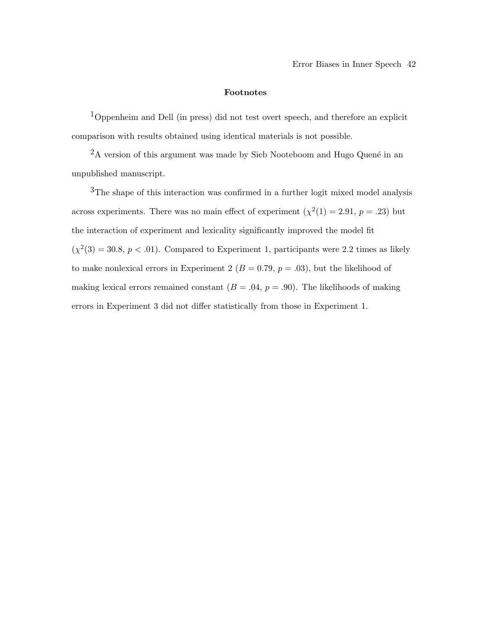#### Footnotes

1Oppenheim and Dell (in press) did not test overt speech, and therefore an explicit comparison with results obtained using identical materials is not possible.

 $^2\text{A}$  version of this argument was made by Sieb Nooteboom and Hugo Quené in an unpublished manuscript.

3The shape of this interaction was confirmed in a further logit mixed model analysis across experiments. There was no main effect of experiment  $(\chi^2(1) = 2.91, p = .23)$  but the interaction of experiment and lexicality significantly improved the model fit  $(\chi^2(3) = 30.8, p < .01)$ . Compared to Experiment 1, participants were 2.2 times as likely to make nonlexical errors in Experiment 2 ( $B = 0.79$ ,  $p = .03$ ), but the likelihood of making lexical errors remained constant  $(B = .04, p = .90)$ . The likelihoods of making errors in Experiment 3 did not differ statistically from those in Experiment 1.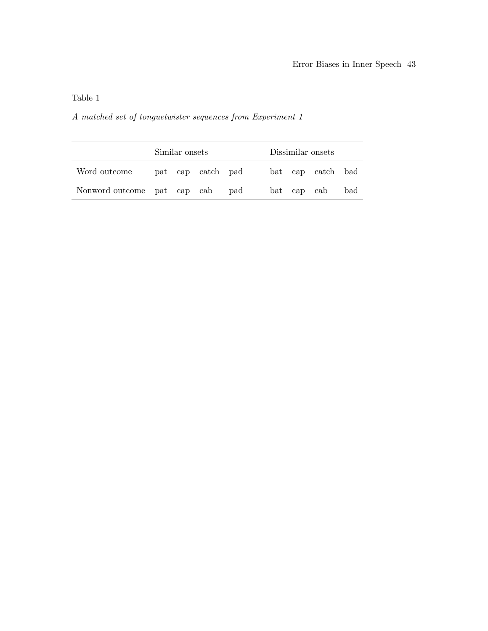## Table 1

## A matched set of tonguetwister sequences from Experiment 1

|                             | Similar onsets |  |                   | Dissimilar onsets |  |  |             |                   |     |
|-----------------------------|----------------|--|-------------------|-------------------|--|--|-------------|-------------------|-----|
| Word outcome                |                |  | pat cap catch pad |                   |  |  |             | bat cap catch bad |     |
| Nonword outcome pat cap cab |                |  |                   | pad               |  |  | bat cap cab |                   | bad |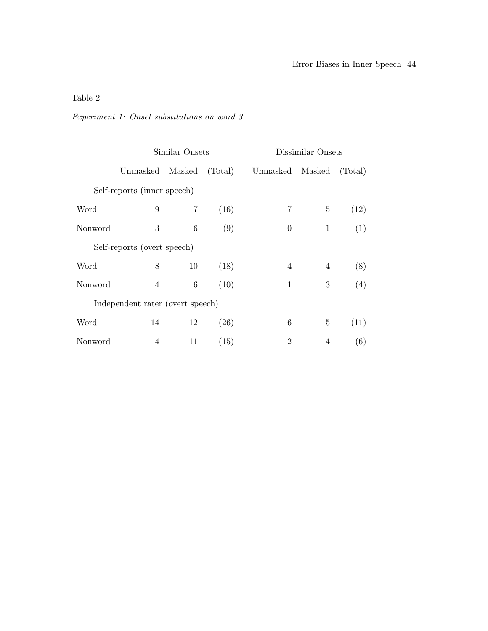## Experiment 1: Onset substitutions on word 3

| Similar Onsets |                                  |    |         | Dissimilar Onsets |                |         |  |
|----------------|----------------------------------|----|---------|-------------------|----------------|---------|--|
|                | Unmasked Masked                  |    | (Total) | Unmasked          | Masked         | (Total) |  |
|                | Self-reports (inner speech)      |    |         |                   |                |         |  |
| Word           | 9                                | 7  | (16)    | 7                 | 5              | (12)    |  |
| Nonword        | 3                                | 6  | (9)     | $\overline{0}$    | $\mathbf{1}$   | (1)     |  |
|                | Self-reports (overt speech)      |    |         |                   |                |         |  |
| Word           | 8                                | 10 | (18)    | $\overline{4}$    | $\overline{4}$ | (8)     |  |
| Nonword        | $\overline{4}$                   | 6  | (10)    | $\mathbf 1$       | 3              | (4)     |  |
|                | Independent rater (overt speech) |    |         |                   |                |         |  |
| Word           | 14                               | 12 | (26)    | 6                 | 5              | (11)    |  |
| Nonword        | 4                                | 11 | (15)    | $\overline{2}$    | $\overline{4}$ | (6)     |  |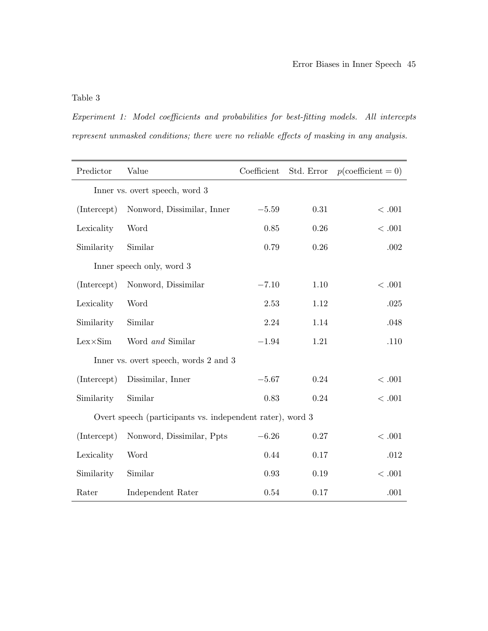Experiment 1: Model coefficients and probabilities for best-fitting models. All intercepts represent unmasked conditions; there were no reliable effects of masking in any analysis.

| Predictor        | Value                                                     | Coefficient | Std. Error | $p$ (coefficient = 0) |
|------------------|-----------------------------------------------------------|-------------|------------|-----------------------|
|                  | Inner vs. overt speech, word 3                            |             |            |                       |
| (Intercept)      | Nonword, Dissimilar, Inner                                | $-5.59$     | 0.31       | < .001                |
| Lexicality       | Word                                                      | 0.85        | 0.26       | <.001                 |
| Similarity       | Similar                                                   | 0.79        | 0.26       | .002                  |
|                  | Inner speech only, word 3                                 |             |            |                       |
| (Intercept)      | Nonword, Dissimilar                                       | $-7.10$     | 1.10       | < .001                |
| Lexicality       | Word                                                      | 2.53        | 1.12       | .025                  |
| Similarity       | Similar                                                   | 2.24        | 1.14       | .048                  |
| $Lex \times Sim$ | Word and Similar                                          | $-1.94$     | 1.21       | .110                  |
|                  | Inner vs. overt speech, words 2 and 3                     |             |            |                       |
| (Intercept)      | Dissimilar, Inner                                         | $-5.67$     | 0.24       | < 0.001               |
| Similarity       | Similar                                                   | 0.83        | 0.24       | < 0.001               |
|                  | Overt speech (participants vs. independent rater), word 3 |             |            |                       |
| (Intercept)      | Nonword, Dissimilar, Ppts                                 | $-6.26$     | 0.27       | < .001                |
| Lexicality       | Word                                                      | 0.44        | 0.17       | .012                  |
| Similarity       | Similar                                                   | 0.93        | 0.19       | < 0.001               |
| Rater            | Independent Rater                                         | 0.54        | 0.17       | .001                  |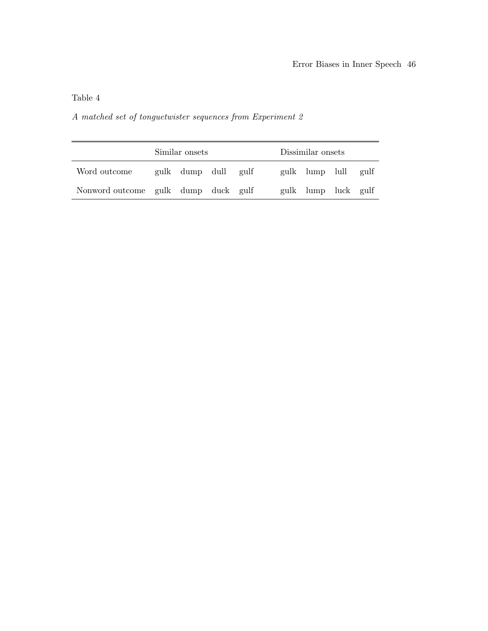## A matched set of tonguetwister sequences from Experiment 2

|                                     | Similar onsets |                     |  | Dissimilar onsets |                     |  |
|-------------------------------------|----------------|---------------------|--|-------------------|---------------------|--|
| Word outcome                        |                | gulk dump dull gulf |  |                   | gulk lump lull gulf |  |
| Nonword outcome gulk dump duck gulf |                |                     |  |                   | gulk lump luck gulf |  |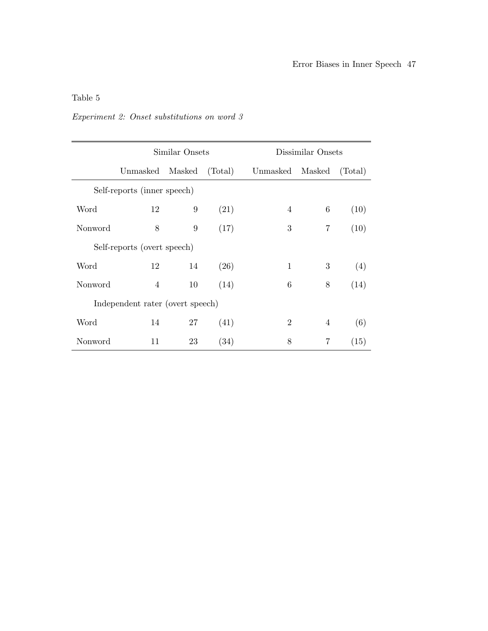## Experiment 2: Onset substitutions on word 3

| Similar Onsets |                                  |        |         | Dissimilar Onsets |                |         |  |
|----------------|----------------------------------|--------|---------|-------------------|----------------|---------|--|
|                | Unmasked                         | Masked | (Total) | Unmasked          | Masked         | (Total) |  |
|                | Self-reports (inner speech)      |        |         |                   |                |         |  |
| Word           | 12                               | 9      | (21)    | $\overline{4}$    | 6              | (10)    |  |
| Nonword        | 8                                | 9      | (17)    | 3                 | 7              | (10)    |  |
|                | Self-reports (overt speech)      |        |         |                   |                |         |  |
| Word           | 12                               | 14     | (26)    | 1                 | 3              | (4)     |  |
| Nonword        | 4                                | 10     | (14)    | 6                 | 8              | (14)    |  |
|                | Independent rater (overt speech) |        |         |                   |                |         |  |
| Word           | 14                               | 27     | (41)    | $\overline{2}$    | $\overline{4}$ | (6)     |  |
| Nonword        | 11                               | 23     | (34)    | 8                 | 7              | (15)    |  |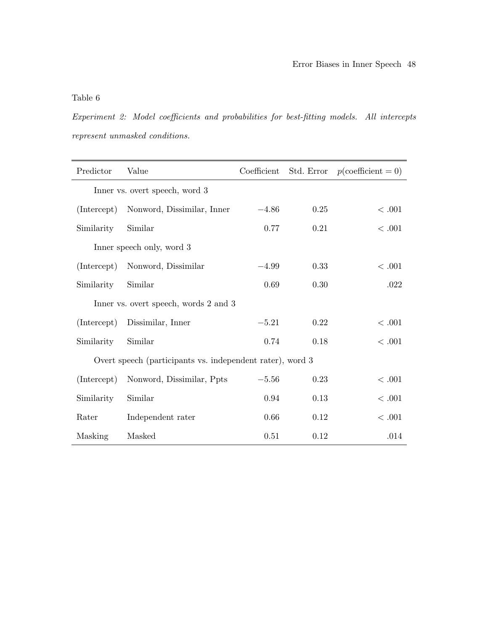Experiment 2: Model coefficients and probabilities for best-fitting models. All intercepts represent unmasked conditions.

| Predictor                      | Value                                                     | Coefficient | Std. Error | $p$ (coefficient = 0) |  |  |  |
|--------------------------------|-----------------------------------------------------------|-------------|------------|-----------------------|--|--|--|
| Inner vs. overt speech, word 3 |                                                           |             |            |                       |  |  |  |
| (Intercept)                    | Nonword, Dissimilar, Inner                                | $-4.86$     | 0.25       | < .001                |  |  |  |
| Similarity                     | Similar                                                   | 0.77        | 0.21       | < .001                |  |  |  |
|                                | Inner speech only, word 3                                 |             |            |                       |  |  |  |
| (Intercept)                    | Nonword, Dissimilar                                       | $-4.99$     | 0.33       | < .001                |  |  |  |
| Similarity                     | Similar                                                   | 0.69        | 0.30       | .022                  |  |  |  |
|                                | Inner vs. overt speech, words 2 and 3                     |             |            |                       |  |  |  |
| (Intercept)                    | Dissimilar, Inner                                         | $-5.21$     | 0.22       | <.001                 |  |  |  |
| Similarity                     | Similar                                                   | 0.74        | 0.18       | < .001                |  |  |  |
|                                | Overt speech (participants vs. independent rater), word 3 |             |            |                       |  |  |  |
| (Intercept)                    | Nonword, Dissimilar, Ppts                                 | $-5.56$     | 0.23       | < .001                |  |  |  |
| Similarity                     | Similar                                                   | 0.94        | 0.13       | $<.001$               |  |  |  |
| Rater                          | Independent rater                                         | 0.66        | 0.12       | <.001                 |  |  |  |
| Masking                        | Masked                                                    | 0.51        | 0.12       | .014                  |  |  |  |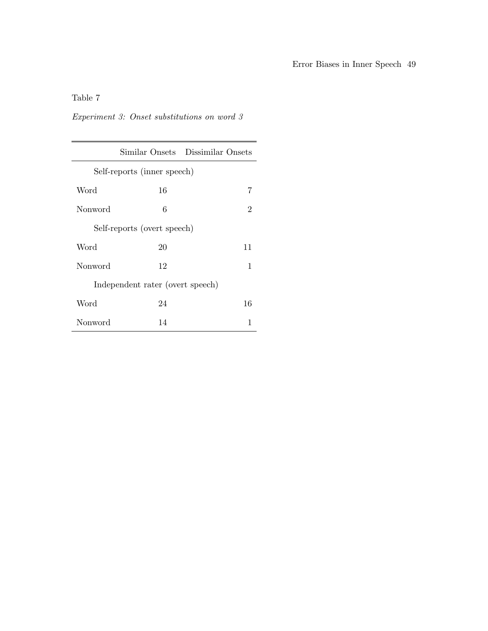## Experiment 3: Onset substitutions on word 3

|         |                                  | Similar Onsets Dissimilar Onsets |  |  |  |  |
|---------|----------------------------------|----------------------------------|--|--|--|--|
|         | Self-reports (inner speech)      |                                  |  |  |  |  |
| Word    | 16                               | 7                                |  |  |  |  |
| Nonword | 6                                | 2                                |  |  |  |  |
|         | Self-reports (overt speech)      |                                  |  |  |  |  |
| Word    | 20                               | 11                               |  |  |  |  |
| Nonword | 12                               | $\mathbf{1}$                     |  |  |  |  |
|         | Independent rater (overt speech) |                                  |  |  |  |  |
| Word    | 24                               | 16                               |  |  |  |  |
| Nonword | 14                               | 1                                |  |  |  |  |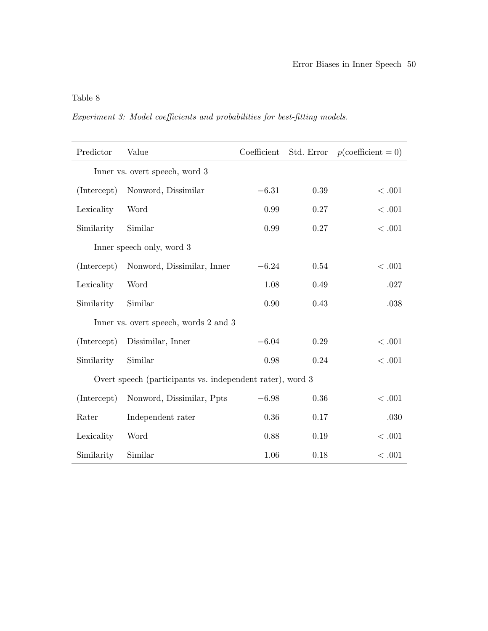Experiment 3: Model coefficients and probabilities for best-fitting models.

| Predictor   | Value                                                     | Coefficient | Std. Error | $p$ (coefficient = 0) |
|-------------|-----------------------------------------------------------|-------------|------------|-----------------------|
|             | Inner vs. overt speech, word 3                            |             |            |                       |
| (Intercept) | Nonword, Dissimilar                                       | $-6.31$     | 0.39       | < .001                |
| Lexicality  | Word                                                      | 0.99        | 0.27       | $<.001$               |
| Similarity  | Similar                                                   | 0.99        | 0.27       | < .001                |
|             | Inner speech only, word 3                                 |             |            |                       |
| (Intercept) | Nonword, Dissimilar, Inner                                | $-6.24$     | 0.54       | < .001                |
| Lexicality  | Word                                                      | 1.08        | 0.49       | .027                  |
| Similarity  | Similar                                                   | 0.90        | 0.43       | .038                  |
|             | Inner vs. overt speech, words 2 and 3                     |             |            |                       |
| (Intercept) | Dissimilar, Inner                                         | $-6.04$     | 0.29       | $<.001$               |
| Similarity  | Similar                                                   | 0.98        | 0.24       | $<.001$               |
|             | Overt speech (participants vs. independent rater), word 3 |             |            |                       |
| (Intercept) | Nonword, Dissimilar, Ppts                                 | $-6.98$     | 0.36       | < .001                |
| Rater       | Independent rater                                         | 0.36        | 0.17       | .030                  |
| Lexicality  | Word                                                      | 0.88        | 0.19       | $<.001$               |
| Similarity  | Similar                                                   | 1.06        | 0.18       | <.001                 |